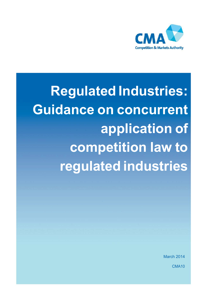

**Regulated Industries: Guidance on concurrent application of competition law to regulated industries**

March 2014

CMA10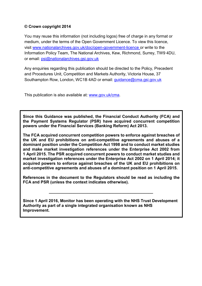### **© Crown copyright 2014**

You may reuse this information (not including logos) free of charge in any format or medium, under the terms of the Open Government Licence. To view this licence, visit [www.nationalarchives.gov.uk/doc/open-government-licence](http://www.nationalarchives.gov.uk/doc/open-government-licence) or write to the Information Policy Team, The National Archives, Kew, Richmond, Surrey, TW9 4DU, or email: [psi@nationalarchives.gsi.gov.uk](mailto:psi@nationalarchives.gsi.gov.uk)

Any enquiries regarding this publication should be directed to the Policy, Precedent and Procedures Unit, Competition and Markets Authority, Victoria House, 37 Southampton Row, London, WC1B 4AD or email: [guidance@cma.gsi.gov.uk](mailto:guidance@cma.gsi.gov.uk)

This publication is also available at: [www.gov.uk/cma.](http://www.gov.uk/CMA)

**Since this Guidance was published, the Financial Conduct Authority (FCA) and the Payment Systems Regulator (PSR) have acquired concurrent competition powers under the Financial Services (Banking Reform) Act 2013.** 

**The FCA acquired concurrent competition powers to enforce against breaches of the UK and EU prohibitions on anti-competitive agreements and abuses of a dominant position under the Competition Act 1998 and to conduct market studies and make market investigation references under the Enterprise Act 2002 from 1 April 2015. The PSR acquired concurrent powers to conduct market studies and market investigation references under the Enterprise Act 2002 on 1 April 2014; it acquired powers to enforce against breaches of the UK and EU prohibitions on anti-competitive agreements and abuses of a dominant position on 1 April 2015.**

**References in the document to the Regulators should be read as including the FCA and PSR (unless the context indicates otherwise).**

**Since 1 April 2016, Monitor has been operating with the NHS Trust Development Authority as part of a single integrated organisation known as NHS Improvement.**

 **\_\_\_\_\_\_\_\_\_\_\_\_\_\_\_\_\_\_\_\_\_\_\_\_\_\_\_\_\_\_\_\_\_\_\_\_\_\_\_\_\_\_\_\_\_\_**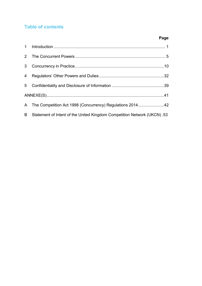# **Table of contents**

# **Page**

| 3 <sup>1</sup> |                                                                          |  |  |
|----------------|--------------------------------------------------------------------------|--|--|
| $\overline{4}$ |                                                                          |  |  |
| 5 <sup>5</sup> |                                                                          |  |  |
|                |                                                                          |  |  |
|                | A The Competition Act 1998 (Concurrency) Regulations 201442              |  |  |
| B              | Statement of Intent of the United Kingdom Competition Network (UKCN) .53 |  |  |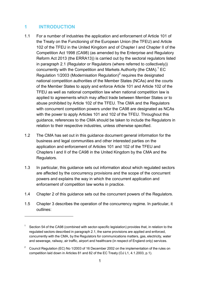## <span id="page-3-0"></span>**1 INTRODUCTION**

- 1.1 For a number of industries the application and enforcement of Article 101 of the Treaty on the Functioning of the European Union (the TFEU) and Article 102 of the TFEU in the United Kingdom and of Chapter I and Chapter II of the Competition Act 1998 (CA98) (as amended by the Enterprise and Regulatory Reform Act 2013 (the ERRA13)) is carried out by the sectoral regulators listed in paragraph [2.1](#page-7-1) (Regulator or Regulators (where referred to collectively)) concurrently with the Competition and Markets Authority (the CMA).<sup>[1](#page-3-1)</sup> EC Regulation 1/2003 (Modernisation Regulation)<sup>2</sup> requires the designated national competition authorities of the Member States (NCAs) and the courts of the Member States to apply and enforce Article 101 and Article 102 of the TFEU as well as national competition law when national competition law is applied to agreements which may affect trade between Member States or to abuse prohibited by Article 102 of the TFEU. The CMA and the Regulators with concurrent competition powers under the CA98 are designated as NCAs with the power to apply Articles 101 and 102 of the TFEU. Throughout this guidance, references to the CMA should be taken to include the Regulators in relation to their respective industries, unless otherwise specified.
- 1.2 The CMA has set out in this guidance document general information for the business and legal communities and other interested parties on the application and enforcement of Articles 101 and 102 of the TFEU and Chapters I and II of the CA98 in the United Kingdom by the CMA and the Regulators.
- 1.3 In particular, this guidance sets out information about which regulated sectors are affected by the concurrency provisions and the scope of the concurrent powers and explains the way in which the concurrent application and enforcement of competition law works in practice.
- 1.4 Chapter [2](#page-7-0) of this guidance sets out the concurrent powers of the Regulators.
- 1.5 Chapter [3](#page-12-0) describes the operation of the concurrency regime. In particular, it outlines:

<span id="page-3-1"></span>Section 54 of the CA98 (combined with sector-specific legislation) provides that, in relation to the regulated sectors described in paragraph [2.1,](#page-7-1) the same provisions are applied and enforced, concurrently with the CMA, by the Regulators for communications matters, gas, electricity, water and sewerage, railway, air traffic, airport and healthcare (in respect of England only) services.

<span id="page-3-2"></span><sup>&</sup>lt;sup>2</sup> Council Regulation (EC) No 1/2003 of 16 December 2002 on the implementation of the rules on competition laid down in Articles 81 and 82 of the EC Treaty (OJ L1, 4.1.2003, p.1).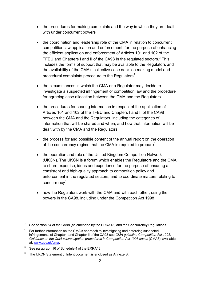- the procedures for making complaints and the way in which they are dealt with under concurrent powers
- the coordination and leadership role of the CMA in relation to concurrent competition law application and enforcement, for the purpose of enhancing the efficient application and enforcement of Articles 101 and 102 of the TFEU and Chapters I and II of the CA98 in the regulated sectors. $3$  This includes the forms of support that may be available to the Regulators and the availability of the CMA's collective case decision making model and procedural complaints procedure to the Regulators<sup>4</sup>
- the circumstances in which the CMA or a Regulator may decide to investigate a suspected infringement of competition law and the procedure for agreeing case allocation between the CMA and the Regulators
- the procedures for sharing information in respect of the application of Articles 101 and 102 of the TFEU and Chapters I and II of the CA98 between the CMA and the Regulators, including the categories of information that will be shared and when, and how that information will be dealt with by the CMA and the Regulators
- the process for and possible content of the annual report on the operation of the concurrency regime that the CMA is required to prepare<sup>[5](#page-4-2)</sup>
- the operation and role of the United Kingdom Competition Network (UKCN). The UKCN is a forum which enables the Regulators and the CMA to share expertise, ideas and experience for the purpose of ensuring a consistent and high-quality approach to competition policy and enforcement in the regulated sectors, and to coordinate matters relating to concurrenc[y6](#page-4-3)
- how the Regulators work with the CMA and with each other, using the powers in the CA98, including under the Competition Act 1998

- <span id="page-4-2"></span><sup>5</sup> See paragraph 16 of Schedule 4 of the ERRA13.
- <span id="page-4-3"></span> $6$  The UKCN Statement of Intent document is enclosed as Annexe B.

<span id="page-4-0"></span> $3$  See section 54 of the CA98 (as amended by the ERRA13) and the Concurrency Regulations.

<span id="page-4-1"></span><sup>4</sup> For further information on the CMA's approach to investigating and enforcing suspected infringements of Chapter I and Chapter II of the CA98 see *CMA guideline Competition Act 1998: Guidance on the CMA's investigation procedures in Competition Act 1998 cases* (CMA8), available at: [www.gov.uk/cma.](http://www.gov.uk/cma)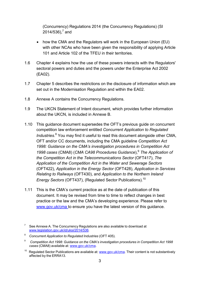(Concurrency) Regulations 2014 (the Concurrency Regulations) (SI 2014/536), $^7$  $^7$  and

- how the CMA and the Regulators will work in the European Union (EU) with other NCAs who have been given the responsibility of applying Article 101 and Article 102 of the TFEU in their territories.
- 1.6 Chapter [4](#page-34-0) explains how the use of these powers interacts with the Regulators' sectoral powers and duties and the powers under the Enterprise Act 2002 (EA02).
- 1.7 Chapter [5](#page-41-0) describes the restrictions on the disclosure of information which are set out in the Modernisation Regulation and within the EA02.
- 1.8 Annexe A contains the Concurrency Regulations.
- 1.9 The UKCN Statement of Intent document, which provides further information about the UKCN, is included in Annexe B.
- 1.10 This guidance document supersedes the OFT's previous guide on concurrent competition law enforcement entitled *Concurrent Application to Regulated Industries*. [8](#page-5-1) You may find it useful to read this document alongside other CMA, OFT and/or CC documents, including the CMA guideline *Competition Act 1998: Guidance on the CMA's investigation procedures in Competition Act 1998 cases* (CMA8) (*CMA CA98 Procedures Guidance*),[9](#page-5-2) *The Application of the Competition Act in the Telecommunications Sector* (OFT417), *The Application of the Competition Act in the Water and Sewerage Sectors* (OFT422), *Application in the Energy Sector* (OFT428), *Application in Services Relating to Railways* (OFT430), and *Application to the Northern Ireland Energy Sectors* (OFT437), (Regulated Sector Publications).<sup>[10](#page-5-3)</sup>
- 1.11 This is the CMA's current practice as at the date of publication of this document. It may be revised from time to time to reflect changes in best practice or the law and the CMA's developing experience. Please refer to [www.gov.uk/cma t](http://www.gov.uk/cma)o ensure you have the latest version of this guidance.

<span id="page-5-0"></span> $7$  See Annexe A. The Concurrency Regulations are also available to download at [www.legislation.gov.uk/id/uksi/2014/536.](http://www.legislation.gov.uk/id/uksi/2014/536)

<span id="page-5-1"></span><sup>8</sup>*Concurrent Application to Regulated Industries* (OFT 405).

<span id="page-5-2"></span><sup>9</sup>*Competition Act 1998: Guidance on the CMA's investigation procedures in Competition Act 1998 cases* (CMA8) available at: [www.gov.uk/cma.](http://www.gov.uk/cma)

<span id="page-5-3"></span><sup>&</sup>lt;sup>10</sup> Regulated Sector Publications are available at: [www.gov.uk/cma.](http://www.gov.uk/cma) Their content is not substantively affected by the ERRA13.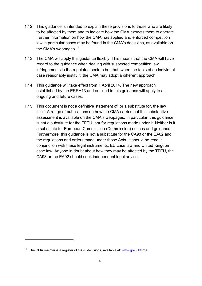- 1.12 This guidance is intended to explain these provisions to those who are likely to be affected by them and to indicate how the CMA expects them to operate. Further information on how the CMA has applied and enforced competition law in particular cases may be found in the CMA's decisions, as available on the CMA's webpages. $11$
- 1.13 The CMA will apply this guidance flexibly. This means that the CMA will have regard to the guidance when dealing with suspected competition law infringements in the regulated sectors but that, when the facts of an individual case reasonably justify it, the CMA may adopt a different approach.
- 1.14 This guidance will take effect from 1 April 2014. The new approach established by the ERRA13 and outlined in this guidance will apply to all ongoing and future cases.
- 1.15 This document is not a definitive statement of, or a substitute for, the law itself. A range of publications on how the CMA carries out this substantive assessment is available on the CMA's webpages. In particular, this guidance is not a substitute for the TFEU, nor for regulations made under it. Neither is it a substitute for European Commission (Commission) notices and guidance. Furthermore, this guidance is not a substitute for the CA98 or the EA02 and the regulations and orders made under those Acts. It should be read in conjunction with these legal instruments, EU case law and United Kingdom case law. Anyone in doubt about how they may be affected by the TFEU, the CA98 or the EA02 should seek independent legal advice.

<span id="page-6-0"></span><sup>&</sup>lt;sup>11</sup> The CMA maintains a register of CA98 decisions, available at: [www.gov.uk/cma.](http://www.gov.uk/cma)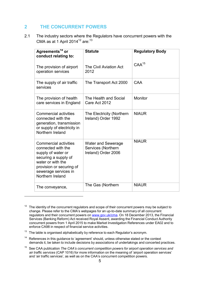## <span id="page-7-0"></span>**2 THE CONCURRENT POWERS**

<span id="page-7-1"></span>2.1 The industry sectors where the Regulators have concurrent powers with the CMA as at 1 April 2014 $12$  are:  $13$ 

| Agreements <sup>14</sup> or<br>conduct relating to:                                                                                                                                           | <b>Statute</b>                                                         | <b>Regulatory Body</b> |
|-----------------------------------------------------------------------------------------------------------------------------------------------------------------------------------------------|------------------------------------------------------------------------|------------------------|
| The provision of airport<br>operation services                                                                                                                                                | The Civil Aviation Act<br>2012                                         | $CAA^{15}$             |
| The supply of air traffic<br>services                                                                                                                                                         | The Transport Act 2000                                                 | CAA                    |
| The provision of health<br>care services in England                                                                                                                                           | The Health and Social<br>Care Act 2012                                 | Monitor                |
| <b>Commercial activities</b><br>connected with the<br>generation, transmission<br>or supply of electricity in<br>Northern Ireland                                                             | The Electricity (Northern<br>Ireland) Order 1992                       | <b>NIAUR</b>           |
| <b>Commercial activities</b><br>connected with the<br>supply of water or<br>securing a supply of<br>water or with the<br>provision or securing of<br>sewerage services in<br>Northern Ireland | <b>Water and Sewerage</b><br>Services (Northern<br>Ireland) Order 2006 | <b>NIAUR</b>           |
| The conveyance,                                                                                                                                                                               | The Gas (Northern                                                      | <b>NIAUR</b>           |

<span id="page-7-2"></span> $12$  The identity of the concurrent regulators and scope of their concurrent powers may be subject to change. Please refer to the CMA's webpages for an up-to-date summary of all concurrent regulators and their concurrent powers on [www.gov.uk/cma.](http://www.gov.uk/cma) On 18 December 2013, the Financial Services (Banking Reform) Act received Royal Assent, awarding the Financial Conduct Authority concurrent powers from 1 April 2015 to make Market Investigation References under EA02 and to enforce CA98 in respect of financial service activities.

- <span id="page-7-3"></span> $13$  The table is organised alphabetically by reference to each Regulator's acronym.
- <span id="page-7-4"></span> $14$  References in this guidance to 'agreement' should, unless otherwise stated or the context demands it, be taken to include decisions by associations of undertakings and concerted practices.

<span id="page-7-5"></span><sup>15</sup> See CAA publication *The CAA's concurrent competition powers for airport operation services and air traffic services* (CAP 1016) for more information on the meaning of 'airport operation services' and 'air traffic services', as well as on the CAA's concurrent competition powers.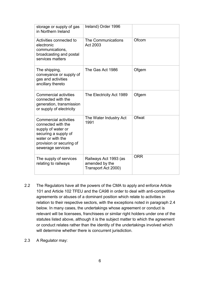| storage or supply of gas<br>in Northern Ireland                                                                                                                        | Ireland) Order 1996                                            |            |
|------------------------------------------------------------------------------------------------------------------------------------------------------------------------|----------------------------------------------------------------|------------|
| Activities connected to<br>electronic<br>communications,<br>broadcasting and postal<br>services matters                                                                | The Communications<br>Act 2003                                 | Ofcom      |
| The shipping,<br>conveyance or supply of<br>gas and activities<br>ancillary thereto                                                                                    | The Gas Act 1986                                               | Ofgem      |
| <b>Commercial activities</b><br>connected with the<br>generation, transmission<br>or supply of electricity                                                             | The Electricity Act 1989                                       | Ofgem      |
| <b>Commercial activities</b><br>connected with the<br>supply of water or<br>securing a supply of<br>water or with the<br>provision or securing of<br>sewerage services | The Water Industry Act<br>1991                                 | Ofwat      |
| The supply of services<br>relating to railways                                                                                                                         | Railways Act 1993 (as<br>amended by the<br>Transport Act 2000) | <b>ORR</b> |

- 2.2 The Regulators have all the powers of the CMA to apply and enforce Article 101 and Article 102 TFEU and the CA98 in order to deal with anti-competitive agreements or abuses of a dominant position which relate to activities in relation to their respective sectors, with the exceptions noted in paragraph [2.4](#page-9-0) below. In many cases, the undertakings whose agreement or conduct is relevant will be licensees, franchisees or similar right holders under one of the statutes listed above, although it is the subject matter to which the agreement or conduct relates rather than the identity of the undertakings involved which will determine whether there is concurrent jurisdiction.
- 2.3 A Regulator may: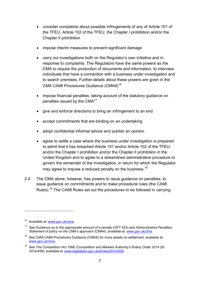- consider complaints about possible infringements of any of Article 101 of the TFEU, Article 102 of the TFEU, the Chapter I prohibition and/or the Chapter II prohibition
- impose interim measures to prevent significant damage
- carry out investigations both on the Regulator's own initiative and in response to complaints. The Regulators have the same powers as the CMA to require the production of documents and information, to interview individuals that have a connection with a business under investigation and to search premises. Further details about these powers are given in the CMA CA98 Procedures Guidance (CMA8[\)16](#page-9-1)
- impose financial penalties, taking account of the statutory quidance on penalties issued by the  $CMA<sup>17</sup>$  $CMA<sup>17</sup>$  $CMA<sup>17</sup>$
- give and enforce directions to bring an infringement to an end
- accept commitments that are binding on an undertaking
- adopt confidential informal advice and publish an opinion
- agree to settle a case where the business under investigation is prepared to admit that it has breached Article 101 and/or Article 102 of the TFEU, and/or the Chapter I prohibition and/or the Chapter II prohibition in the United Kingdom and to agree to a streamlined administrative procedure to govern the remainder of the investigation, in return for which the Regulator may agree to impose a reduced penalty on the business.<sup>[18](#page-9-3)</sup>
- <span id="page-9-0"></span>2.4 The CMA alone, however, has powers to issue guidance on penalties, to issue guidance on commitments and to make procedural rules (the CA98 Rules).[19](#page-9-4) The CA98 Rules set out the procedures to be followed in carrying

<span id="page-9-1"></span><sup>&</sup>lt;sup>16</sup> Available at: [www.gov.uk/cma.](http://www.gov.uk/cma)

<span id="page-9-2"></span><sup>17</sup> See *Guidance as to the appropriate amount of a penalty* (OFT 423) and *Administrative Penalties: Statement of policy on the CMA's approach* (CMA4), available at: [www.gov.uk/cma.](http://www.gov.uk/cma)

<span id="page-9-3"></span> $18$  See CMA CA98 Procedures Guidance (CMA8) for more details on settlement, available at: [www.gov.uk/cma.](http://www.gov.uk/cma)

<span id="page-9-4"></span><sup>19</sup> See *The Competition Act 1998 (Competition and Markets Authority's Rules) Order 2014* (SI 2014/458), available at: [www.legislation.gov.uk/id/uksi/2014/458.](http://www.legislation.gov.uk/id/uksi/2014/458)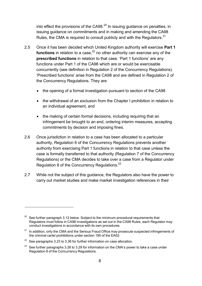into effect the provisions of the CA98. $^{20}$  $^{20}$  $^{20}$  In issuing guidance on penalties, in issuing guidance on commitments and in making and amending the CA98 Rules, the CMA is required to consult publicly and with the Regulators. $21$ 

- <span id="page-10-4"></span>2.5 Once it has been decided which United Kingdom authority will exercise **Part 1 functions** in relation to a case,<sup>[22](#page-10-2)</sup> no other authority can exercise any of the **prescribed functions** in relation to that case. 'Part 1 functions' are any functions under Part 1 of the CA98 which are or would be exercisable concurrently (see definition in Regulation 2 of the Concurrency Regulations). 'Prescribed functions' arise from the CA98 and are defined in Regulation 2 of the Concurrency Regulations. They are
	- the opening of a formal investigation pursuant to section of the CA98
	- the withdrawal of an exclusion from the Chapter I prohibition in relation to an individual agreement, and
	- the making of certain formal decisions, including requiring that an infringement be brought to an end, ordering interim measures, accepting commitments by decision and imposing fines.
- 2.6 Once jurisdiction in relation to a case has been allocated to a particular authority, Regulation 6 of the Concurrency Regulations prevents another authority from exercising Part 1 functions in relation to that case unless the case is formally transferred to that authority (Regulation 7 of the Concurrency Regulations) or the CMA decides to take over a case from a Regulator under Regulation 8 of the Concurrency Regulations. $^{23}$
- 2.7 While not the subject of this guidance, the Regulators also have the power to carry out market studies and make market investigation references in their

<span id="page-10-0"></span> $20$  See further paragraph [3.12](#page-16-0) below. Subject to the minimum procedural requirements that Regulators must follow in CA98 investigations as set out in the CA98 Rules, each Regulator may conduct investigations in accordance with its own procedures.

<span id="page-10-1"></span> $21$  In addition, only the CMA and the Serious Fraud Office may prosecute suspected infringements of the criminal cartel prohibitions under section 190 of the EA02.

<span id="page-10-2"></span> $22$  See paragraphs [3.23](#page-19-0) to [3.36](#page-23-0) for further information on case allocation.

<span id="page-10-3"></span> $23$  See further paragraphs [3.26](#page-20-0) to [3.29](#page-21-0) for information on the CMA's power to take a case under Regulation 8 of the Concurrency Regulations.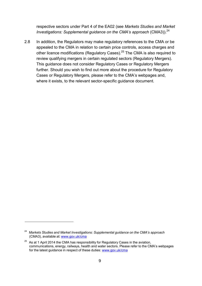respective sectors under Part 4 of the EA02 (see *Markets Studies and Market Investigations: Supplemental guidance on the CMA's approach (CMA3)).*<sup>[24](#page-11-0)</sup>

2.8 In addition, the Regulators may make regulatory references to the CMA or be appealed to the CMA in relation to certain price controls, access charges and other licence modifications (Regulatory Cases).<sup>[25](#page-11-1)</sup> The CMA is also required to review qualifying mergers in certain regulated sectors (Regulatory Mergers). This guidance does not consider Regulatory Cases or Regulatory Mergers further. Should you wish to find out more about the procedure for Regulatory Cases or Regulatory Mergers, please refer to the CMA's webpages and, where it exists, to the relevant sector-specific guidance document.

<span id="page-11-0"></span><sup>24</sup>*Markets Studies and Market Investigations: Supplemental guidance on the CMA's approach* (CMA3), available at: [www.gov.uk/cma](http://www.gov.uk/cma)

<span id="page-11-1"></span> $25$  As at 1 April 2014 the CMA has responsibility for Regulatory Cases in the aviation, communications, energy, railways, health and water sectors. Please refer to the CMA's webpages for the latest guidance in respect of these duties: [www.gov.uk/cma](http://www.gov.uk/cma)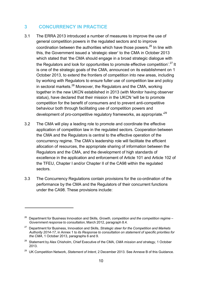## <span id="page-12-0"></span>**3 CONCURRENCY IN PRACTICE**

- 3.1 The ERRA 2013 introduced a number of measures to improve the use of general competition powers in the regulated sectors and to improve coordination between the authorities which have those powers.  $26$  In line with this, the Government issued a 'strategic steer' to the CMA in October 2013 which stated that 'the CMA should engage in a broad strategic dialogue with the Regulators and look for opportunities to promote effective competition'.<sup>[27](#page-12-2)</sup> It is one of the strategic goals of the CMA, announced on its establishment on 1 October 2013, to extend the frontiers of competition into new areas, including by working with Regulators to ensure fuller use of competition law and policy in sectoral markets. $^{28}$  $^{28}$  $^{28}$  Moreover, the Regulators and the CMA, working together in the new UKCN established in 2013 (with Monitor having observer status), have declared that their mission in the UKCN 'will be to promote competition for the benefit of consumers and to prevent anti-competitive behaviour both through facilitating use of competition powers and development of pro-competitive regulatory frameworks, as appropriate.<sup>[29](#page-12-4)</sup>
- 3.2 The CMA will play a leading role to promote and coordinate the effective application of competition law in the regulated sectors. Cooperation between the CMA and the Regulators is central to the effective operation of the concurrency regime. The CMA's leadership role will facilitate the efficient allocation of resources, the appropriate sharing of information between the Regulators and the CMA, and the development of high standards of excellence in the application and enforcement of Article 101 and Article 102 of the TFEU, Chapter I and/or Chapter II of the CA98 within the regulated sectors.
- 3.3 The Concurrency Regulations contain provisions for the co-ordination of the performance by the CMA and the Regulators of their concurrent functions under the CA98. These provisions include:

<span id="page-12-1"></span><sup>26</sup> Department for Business Innovation and Skills, *Growth, competition and the competition regime – Government response to consultation*, March 2012, paragraph 8.4.

<span id="page-12-2"></span><sup>27</sup> Department for Business, Innovation and Skills, *Strategic steer for the Competition and Markets Authority 2014-17*, in Annex 1 to *its Response to consultation on statement of specific priorities for the CMA*, 1 October 2013, paragraphs 6 and 9.

<span id="page-12-3"></span><sup>28</sup> Statement by Alex Chisholm, Chief Executive of the CMA, *CMA mission and strategy*, 1 October 2013.

<span id="page-12-4"></span><sup>29</sup> UK Competition Network, *Statement of Intent*, 2 December 2013. See Annexe B of this Guidance.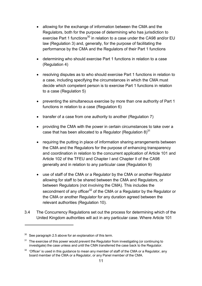- allowing for the exchange of information between the CMA and the Regulators, both for the purpose of determining who has jurisdiction to exercise Part 1 functions<sup>30</sup> in relation to a case under the CA98 and/or EU law (Regulation 3) and, generally, for the purpose of facilitating the performance by the CMA and the Regulators of their Part 1 functions
- determining who should exercise Part 1 functions in relation to a case (Regulation 4)
- resolving disputes as to who should exercise Part 1 functions in relation to a case, including specifying the circumstances in which the CMA must decide which competent person is to exercise Part 1 functions in relation to a case (Regulation 5)
- preventing the simultaneous exercise by more than one authority of Part 1 functions in relation to a case (Regulation 6)
- transfer of a case from one authority to another (Regulation 7)
- providing the CMA with the power in certain circumstances to take over a case that has been allocated to a Regulator (Regulation  $8)^{31}$
- requiring the putting in place of information sharing arrangements between the CMA and the Regulators for the purpose of enhancing transparency and coordination in relation to the concurrent application of Article 101 and Article 102 of the TFEU and Chapter I and Chapter II of the CA98 generally and in relation to any particular case (Regulation 9)
- use of staff of the CMA or a Regulator by the CMA or another Regulator allowing for staff to be shared between the CMA and Regulators, or between Regulators (not involving the CMA). This includes the secondment of any officer $32$  of the CMA or a Regulator by the Regulator or the CMA or another Regulator for any duration agreed between the relevant authorities (Regulation 10).
- 3.4 The Concurrency Regulations set out the process for determining which of the United Kingdom authorities will act in any particular case. Where Article 101

<span id="page-13-0"></span>See paragraph [2.5](#page-10-4) above for an explanation of this term.

<span id="page-13-1"></span> $31$  The exercise of this power would prevent the Regulator from investigating (or continuing to investigate) the case unless and until the CMA transferred the case back to the Regulator.

<span id="page-13-2"></span> $32$  'Officer' is used in this guidance to mean any member of staff of the CMA or a Regulator, any board member of the CMA or a Regulator, or any Panel member of the CMA.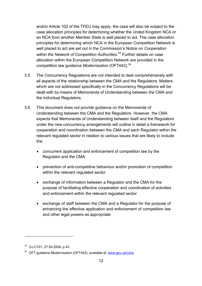and/or Article 102 of the TFEU may apply, the case will also be subject to the case allocation principles for determining whether the United Kingdom NCA or an NCA from another Member State is well placed to act. The case allocation principles for determining which NCA in the European Competition Network is well placed to act are set out in the Commission's Notice on *Cooperation within the Network of Competition Authorities*. [33](#page-14-0) Further details on case allocation within the European Competition Network are provided in the competition law guidance *Modernisation* (OFT442).[34](#page-14-1)

- 3.5 The Concurrency Regulations are not intended to deal comprehensively with all aspects of the relationship between the CMA and the Regulators. Matters which are not addressed specifically in the Concurrency Regulations will be dealt with by means of Memoranda of Understanding between the CMA and the individual Regulators.
- 3.6 This document does not provide guidance on the Memoranda of Understanding between the CMA and the Regulators. However, the CMA expects that Memoranda of Understanding between itself and the Regulators under the new concurrency arrangements will outline in detail a framework for cooperation and coordination between the CMA and each Regulator within the relevant regulated sector in relation to various issues that are likely to include the:
	- concurrent application and enforcement of competition law by the Regulator and the CMA
	- prevention of anti-competitive behaviour and/or promotion of competition within the relevant regulated sector
	- exchange of information between a Regulator and the CMA for the purpose of facilitating effective cooperation and coordination of activities and enforcement within the relevant regulated sector
	- exchange of staff between the CMA and a Regulator for the purpose of enhancing the effective application and enforcement of competition law and other legal powers as appropriate

<span id="page-14-0"></span><sup>33</sup> OJ C101, 27.04.2004, p.43.

<span id="page-14-1"></span><sup>34</sup> OFT guideline *Modernisation* (OFT442), available at: [www.gov.uk/cma.](http://www.gov.uk/cma)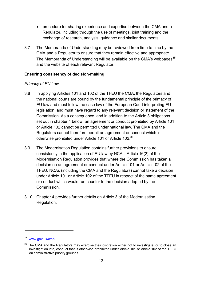- procedure for sharing experience and expertise between the CMA and a Regulator, including through the use of meetings, joint training and the exchange of research, analysis, guidance and similar documents.
- 3.7 The Memoranda of Understanding may be reviewed from time to time by the CMA and a Regulator to ensure that they remain effective and appropriate. The Memoranda of Understanding will be available on the CMA's webpages<sup>35</sup> and the website of each relevant Regulator.

#### **Ensuring consistency of decision-making**

#### *Primacy of EU Law*

- 3.8 In applying Articles 101 and 102 of the TFEU the CMA, the Regulators and the national courts are bound by the fundamental principle of the primacy of EU law and must follow the case law of the European Court interpreting EU legislation, and must have regard to any relevant decision or statement of the Commission. As a consequence, and in addition to the Article 3 obligations set out in chapter 4 below, an agreement or conduct prohibited by Article 101 or Article 102 cannot be permitted under national law. The CMA and the Regulators cannot therefore permit an agreement or conduct which is otherwise prohibited under Article 101 or Article 102.<sup>[36](#page-15-1)</sup>
- 3.9 The Modernisation Regulation contains further provisions to ensure consistency in the application of EU law by NCAs. Article 16(2) of the Modernisation Regulation provides that where the Commission has taken a decision on an agreement or conduct under Article 101 or Article 102 of the TFEU, NCAs (including the CMA and the Regulators) cannot take a decision under Article 101 or Article 102 of the TFEU in respect of the same agreement or conduct which would run counter to the decision adopted by the Commission.
- 3.10 Chapter [4](#page-34-0) provides further details on Article 3 of the Modernisation Regulation.

<span id="page-15-0"></span><sup>35</sup> [www.gov.uk/cma](http://www.gov.uk/cma)

<span id="page-15-1"></span><sup>&</sup>lt;sup>36</sup> The CMA and the Regulators may exercise their discretion either not to investigate, or to close an investigation into, conduct that is otherwise prohibited under Article 101 or Article 102 of the TFEU on administrative priority grounds.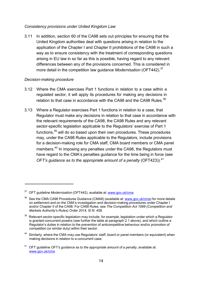#### *Consistency provisions under United Kingdom Law*

3.11 In addition, section 60 of the CA98 sets out principles for ensuring that the United Kingdom authorities deal with questions arising in relation to the application of the Chapter I and Chapter II prohibitions of the CA98 in such a way as to ensure consistency with the treatment of corresponding questions arising in EU law in so far as this is possible, having regard to any relevant differences between any of the provisions concerned. This is considered in more detail in the competition law guidance *Modernisation* (OFT442).<sup>[37](#page-16-1)</sup>

#### *Decision-making procedure*

- <span id="page-16-0"></span>3.12 Where the CMA exercises Part 1 functions in relation to a case within a regulated sector, it will apply its procedures for making any decisions in relation to that case in accordance with the CA98 and the CA98 Rules.<sup>[38](#page-16-2)</sup>
- 3.13 Where a Regulator exercises Part 1 functions in relation to a case, that Regulator must make any decisions in relation to that case in accordance with the relevant requirements of the CA98, the CA98 Rules and any relevant sector-specific legislation applicable to the Regulators' exercise of Part 1 functions.<sup>[39](#page-16-3)</sup> will do so based upon their own procedures. These procedures may, under the CA98 Rules applicable to the Regulators, include provisions for a decision-making role for CMA staff, CMA board members or CMA panel members.<sup>[40](#page-16-4)</sup> In imposing any penalties under the CA98, the Regulators must have regard to the CMA's penalties guidance for the time being in force (see *OFT's guidance as to the appropriate amount of a penalty* (OFT423)).[41](#page-16-5)

<span id="page-16-1"></span><sup>&</sup>lt;sup>37</sup> OFT quideline *Modernisation* (OFT442), available at: [www.gov.uk/cma](http://www.gov.uk/cma)

<span id="page-16-2"></span><sup>&</sup>lt;sup>38</sup> See the CMA CA98 Procedures Guidance (CMA8) (available at: [www.gov.uk/cma\)](http://www.gov.uk/cma) for more details on settlement and on the CMA's investigation and decision-making procedures under Chapter I and/or Chapter II of the CA98. For CA98 Rules, see *The Competition Act 1998 (Competition and Markets Authority's Rules) Order 2014, SI N. 458*.

<span id="page-16-3"></span> $39$  Relevant sector-specific legislation may include, for example, legislation under which a Regulator is granted concurrent powers (see further the table at paragraph [2.1](#page-7-1) above), and which outline a Regulator's duties in relation to the prevention of anticompetitive behaviour and/or promotion of competition (or similar duty) within their sector.

<span id="page-16-4"></span> $40$  Similarly, where the CMA may use Regulators' staff, board or panel members (or equivalent) when making decisions in relation to a concurrent case.

<span id="page-16-5"></span><sup>41</sup> OFT guideline *OFT's guidance as to the appropriate amount of a penalty*, available at: [www.gov.uk/cma](http://www.gov.uk/cma)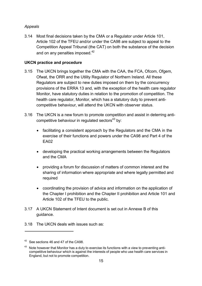## *Appeals*

3.14 Most final decisions taken by the CMA or a Regulator under Article 101, Article 102 of the TFEU and/or under the CA98 are subject to appeal to the Competition Appeal Tribunal (the CAT) on both the substance of the decision and on any penalties imposed.<sup>[42](#page-17-0)</sup>

## **UKCN practice and procedure**

- 3.15 The UKCN brings together the CMA with the CAA, the FCA, Ofcom, Ofgem, Ofwat, the ORR and the Utility Regulator of Northern Ireland. All these Regulators are subject to new duties imposed on them by the concurrency provisions of the ERRA 13 and, with the exception of the health care regulator Monitor, have statutory duties in relation to the promotion of competition. The health care regulator, Monitor, which has a statutory duty to prevent anticompetitive behaviour, will attend the UKCN with observer status.
- 3.16 The UKCN is a new forum to promote competition and assist in deterring anticompetitive behaviour in regulated sectors $43$  by:
	- facilitating a consistent approach by the Regulators and the CMA in the exercise of their functions and powers under the CA98 and Part 4 of the EA02
	- developing the practical working arrangements between the Regulators and the CMA
	- providing a forum for discussion of matters of common interest and the sharing of information where appropriate and where legally permitted and required
	- coordinating the provision of advice and information on the application of the Chapter I prohibition and the Chapter II prohibition and Article 101 and Article 102 of the TFEU to the public.
- 3.17 A UKCN Statement of Intent document is set out in Annexe B of this guidance.
- 3.18 The UKCN deals with issues such as:

<span id="page-17-0"></span><sup>&</sup>lt;sup>42</sup> See sections 46 and 47 of the CA98.

<span id="page-17-1"></span> $43$  Note however that Monitor has a duty to exercise its functions with a view to preventing anticompetitive behaviour which is against the interests of people who use health care services in England, but not to promote competition.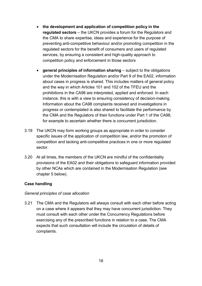- **the development and application of competition policy in the regulated sectors** – the UKCN provides a forum for the Regulators and the CMA to share expertise, ideas and experience for the purpose of preventing anti-competitive behaviour and/or promoting competition in the regulated sectors for the benefit of consumers and users of regulated services, by ensuring a consistent and high-quality approach to competition policy and enforcement in those sectors
- **general principles of information sharing** subject to the obligations under the Modernisation Regulation and/or Part 9 of the EA02, information about cases in progress is shared. This includes matters of general policy and the way in which Articles 101 and 102 of the TFEU and the prohibitions in the CA98 are interpreted, applied and enforced. In each instance, this is with a view to ensuring consistency of decision-making. Information about the CA98 complaints received and investigations in progress or contemplated is also shared to facilitate the performance by the CMA and the Regulators of their functions under Part 1 of the CA98, for example to ascertain whether there is concurrent jurisdiction.
- 3.19 The UKCN may form working groups as appropriate in order to consider specific issues of the application of competition law, and/or the promotion of competition and tacking anti-competitive practices in one or more regulated sector.
- 3.20 At all times, the members of the UKCN are mindful of the confidentiality provisions of the EA02 and their obligations to safeguard information provided by other NCAs which are contained in the Modernisation Regulation (see chapter [5](#page-41-0) below).

#### **Case handling**

#### *General principles of case allocation*

<span id="page-18-0"></span>3.21 The CMA and the Regulators will always consult with each other before acting on a case where it appears that they may have concurrent jurisdiction. They must consult with each other under the Concurrency Regulations before exercising any of the prescribed functions in relation to a case. The CMA expects that such consultation will include the circulation of details of complaints.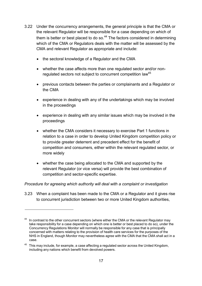- <span id="page-19-3"></span>3.22 Under the concurrency arrangements, the general principle is that the CMA or the relevant Regulator will be responsible for a case depending on which of them is better or best placed to do so. $44$  The factors considered in determining which of the CMA or Regulators deals with the matter will be assessed by the CMA and relevant Regulator as appropriate and include:
	- the sectoral knowledge of a Regulator and the CMA
	- whether the case affects more than one regulated sector and/or nonregulated sectors not subject to concurrent competition law<sup>45</sup>
	- previous contacts between the parties or complainants and a Regulator or the CMA
	- experience in dealing with any of the undertakings which may be involved in the proceedings
	- experience in dealing with any similar issues which may be involved in the proceedings
	- whether the CMA considers it necessary to exercise Part 1 functions in relation to a case in order to develop United Kingdom competition policy or to provide greater deterrent and precedent effect for the benefit of competition and consumers, either within the relevant regulated sector, or more widely
	- whether the case being allocated to the CMA and supported by the relevant Regulator (or vice versa) will provide the best combination of competition and sector-specific expertise.

#### *Procedure for agreeing which authority will deal with a complaint or investigation*

<span id="page-19-0"></span>3.23 When a complaint has been made to the CMA or a Regulator and it gives rise to concurrent jurisdiction between two or more United Kingdom authorities,

<span id="page-19-1"></span> $44$  In contrast to the other concurrent sectors (where either the CMA or the relevant Regulator may take responsibility for a case depending on which one is better or best placed to do so), under the Concurrency Regulations Monitor will normally be responsible for any case that is principally concerned with matters relating to the provision of health care services for the purposes of the NHS in England, though Monitor may nevertheless agree with the CMA that the CMA shall act in a case.

<span id="page-19-2"></span> $45$  This may include, for example, a case affecting a regulated sector across the United Kingdom, including any nations which benefit from devolved powers.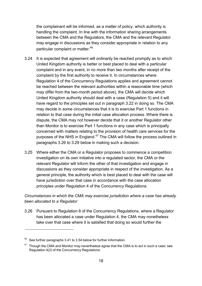the complainant will be informed, as a matter of policy, which authority is handling the complaint. In line with the information sharing arrangements between the CMA and the Regulators, the CMA and the relevant Regulator may engage in discussions as they consider appropriate in relation to any particular complaint or matter.<sup>[46](#page-20-1)</sup>

- 3.24 It is expected that agreement will ordinarily be reached promptly as to which United Kingdom authority is better or best placed to deal with a particular complaint and in any event, in no more than two months after receipt of the complaint by the first authority to receive it. In circumstances where Regulation 4 of the Concurrency Regulations applies and agreement cannot be reached between the relevant authorities within a reasonable time (which may differ from the two-month period above), the CMA will decide which United Kingdom authority should deal with a case (Regulation 5) and it will have regard to the principles set out in paragraph [3.22](#page-19-3) in doing so. The CMA may decide in some circumstances that it is to exercise Part 1 functions in relation to that case during the initial case allocation process. Where there is dispute, the CMA may not however decide that it or another Regulator other than Monitor is to exercise Part 1 functions in any case which is principally concerned with matters relating to the provision of health care services for the purposes of the NHS in England.<sup>[47](#page-20-2)</sup> The CMA will follow the process outlined in paragraphs [3.26](#page-20-0) to [3.29](#page-21-0) below in making such a decision.
- 3.25 Where either the CMA or a Regulator proposes to commence a competition investigation on its own initiative into a regulated sector, the CMA or the relevant Regulator will inform the other of that investigation and engage in discussions as they consider appropriate in respect of the investigation. As a general principle, the authority which is best placed to deal with the case will have jurisdiction over that case in accordance with the case allocation principles under Regulation 4 of the Concurrency Regulations.

## *Circumstances in which the CMA may exercise jurisdiction where a case has already been allocated to a Regulator*

<span id="page-20-0"></span>3.26 Pursuant to Regulation 8 of the Concurrency Regulations, where a Regulator has been allocated a case under Regulation 4, the CMA may nonetheless take over that case where it is satisfied that doing so would further the

<span id="page-20-1"></span>See further paragraphs [3.41](#page-25-0) to [3.54](#page-30-0) below for further information.

<span id="page-20-2"></span> $47$  Though the CMA and Monitor may nevertheless agree that the CMA is to act in such a case: see Regulation 4(2) of the Concurrency Regulations.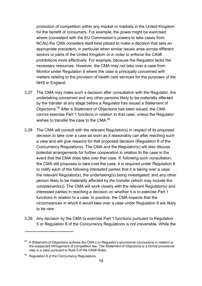promotion of competition within any market or markets in the United Kingdom for the benefit of consumers. For example, the power might be exercised where (consistent with the EU Commission's powers to take cases from NCAs) the CMA considers itself best placed to make a decision that sets an appropriate precedent, in particular when similar issues arise across different sectors or parts of the United Kingdom or in order to enforce the CA98 prohibitions more effectively. For example, because the Regulator lacks the necessary resources. However, the CMA may not take over a case from Monitor under Regulation 8 where the case is principally concerned with matters relating to the provision of health care services for the purposes of the NHS in England.

- 3.27 The CMA may make such a decision after consultation with the Regulator, the undertaking concerned and any other persons likely to be materially affected by the transfer at any stage before a Regulator has issued a Statement of Objections.[48](#page-21-1) After a Statement of Objections has been issued, the CMA cannot exercise Part 1 functions in relation to that case, unless the Regulator wishes to transfer the case to the CMA $<sup>49</sup>$  $<sup>49</sup>$  $<sup>49</sup>$ </sup>
- 3.28 The CMA will consult with the relevant Regulator(s) in respect of its proposed decision to take over a case as soon as it reasonably can after reaching such a view and will give reasons for that proposed decision (Regulation 8 of the Concurrency Regulations). The CMA and the Regulator(s) will also discuss potential arrangements for further cooperation in relation to the case in the event that the CMA does take over that case. If, following such consultation, the CMA still proposes to take over the case, it is required under Regulation 8 to notify each of the following interested parties that it is taking over a case: the relevant Regulator(s), the undertaking(s) being investigated, and any other person likely to be materially affected by the transfer (which may include the complainant(s)). The CMA will work closely with the relevant Regulator(s) and interested parties in reaching a decision on whether it is to exercise Part 1 functions in relation to a case. In practice, the CMA expects that the circumstances in which it would take over a case under Regulation 8 are likely to be rare.
- <span id="page-21-0"></span>3.29 Any decision by the CMA to exercise Part 1 functions pursuant to Regulation 5 or Regulation 8 of the Concurrency Regulations is not irreversible. While the

<span id="page-21-1"></span><sup>&</sup>lt;sup>48</sup> A Statement of Objections outlines the CMA's or Regulator's provisional conclusions in relation to the suspected infringement of competition law. The Statement of Objections is a formal procedural step in a case pursuant to Rule 5 of the CA98 Rules.

<span id="page-21-2"></span><sup>49</sup> Regulation 8 of the Concurrency Regulations.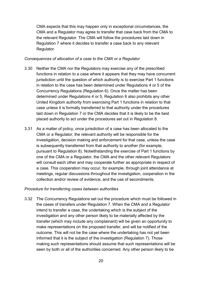CMA expects that this may happen only in exceptional circumstances, the CMA and a Regulator may agree to transfer that case back from the CMA to the relevant Regulator. The CMA will follow the procedures laid down in Regulation 7 where it decides to transfer a case back to any relevant Regulator.

#### *Consequences of allocation of a case to the CMA or a Regulator*

- 3.30 Neither the CMA nor the Regulators may exercise any of the prescribed functions in relation to a case where it appears that they may have concurrent jurisdiction until the question of which authority is to exercise Part 1 functions in relation to the case has been determined under Regulations 4 or 5 of the Concurrency Regulations (Regulation 6). Once the matter has been determined under Regulations 4 or 5, Regulation 6 also prohibits any other United Kingdom authority from exercising Part 1 functions in relation to that case unless it is formally transferred to that authority under the procedures laid down in Regulation 7 or the CMA decides that it is likely to be the best placed authority to act under the procedures set out in Regulation 8.
- 3.31 As a matter of policy, once jurisdiction of a case has been allocated to the CMA or a Regulator, the relevant authority will be responsible for the investigation, decision making and enforcement for that case, unless the case is subsequently transferred from that authority to another (for example, pursuant to Regulation 8). Notwithstanding the exercise of Part 1 functions by one of the CMA or a Regulator, the CMA and the other relevant Regulators will consult each other and may cooperate further as appropriate in respect of a case. This cooperation may occur, for example, through joint attendance at meetings, regular discussions throughout the investigation, cooperation in the collection and/or review of evidence, and the use of secondments.

#### *Procedure for transferring cases between authorities*

3.32 The Concurrency Regulations set out the procedure which must be followed in the cases of transfers under Regulation 7. When the CMA and a Regulator intend to transfer a case, the undertaking which is the subject of the investigation and any other person likely to be materially affected by the transfer (which may include any complainant) will be given an opportunity to make representations on the proposed transfer, and will be notified of the outcome. This will not be the case where the undertaking has not yet been informed that it is the subject of the investigation (Regulation 7). Those making such representations should assume that such representations will be seen by both or all of the authorities concerned. Any other person likely to be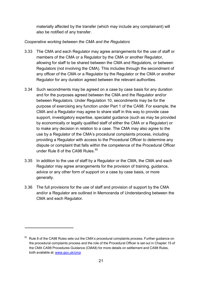materially affected by the transfer (which may include any complainant) will also be notified of any transfer.

## *Cooperative working between the CMA and the Regulators*

- 3.33 The CMA and each Regulator may agree arrangements for the use of staff or members of the CMA or a Regulator by the CMA or another Regulator, allowing for staff to be shared between the CMA and Regulators, or between Regulators (not involving the CMA). This includes through the secondment of any officer of the CMA or a Regulator by the Regulator or the CMA or another Regulator for any duration agreed between the relevant authorities.
- 3.34 Such secondments may be agreed on a case by case basis for any duration and for the purposes agreed between the CMA and the Regulator and/or between Regulators. Under Regulation 10, secondments may be for the purpose of exercising any function under Part 1 of the CA98. For example, the CMA and a Regulator may agree to share staff in this way to provide case support, investigatory expertise, specialist guidance (such as may be provided by economically or legally qualified staff of either the CMA or a Regulator) or to make any decision in relation to a case. The CMA may also agree to the use by a Regulator of the CMA's procedural complaints process, including providing a Regulator with access to the Procedural Officer to determine any dispute or complaint that falls within the competence of the Procedural Officer under Rule 8 of the CA98 Rules.<sup>[50](#page-23-1)</sup>
- 3.35 In addition to the use of staff by a Regulator or the CMA, the CMA and each Regulator may agree arrangements for the provision of training, guidance, advice or any other form of support on a case by case basis, or more generally.
- <span id="page-23-0"></span>3.36 The full provisions for the use of staff and provision of support by the CMA and/or a Regulator are outlined in Memoranda of Understanding between the CMA and each Regulator.

<span id="page-23-1"></span> $50$  Rule 8 of the CA98 Rules sets out the CMA's procedural complaints process. Further guidance on the procedural complaints process and the role of the Procedural Officer is set out in Chapter 15 of the CMA CA98 Procedures Guidance (CMA8) for more details on settlement and CA98 Rules, both available at: [www.gov.uk/cma](http://www.gov.uk/cma)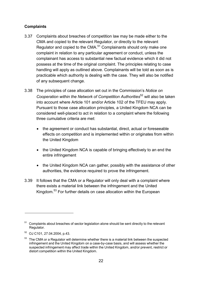## **Complaints**

- 3.37 Complaints about breaches of competition law may be made either to the CMA and copied to the relevant Regulator, or directly to the relevant Regulator and copied to the CMA.<sup>[51](#page-24-0)</sup> Complainants should only make one complaint in relation to any particular agreement or conduct, unless the complainant has access to substantial new factual evidence which it did not possess at the time of the original complaint. The principles relating to case handling will apply as outlined above. Complainants will be told as soon as is practicable which authority is dealing with the case. They will also be notified of any subsequent change.
- 3.38 The principles of case allocation set out in the Commission's *Notice on Cooperation within the Network of Competition Authorities*[52](#page-24-1) will also be taken into account where Article 101 and/or Article 102 of the TFEU may apply. Pursuant to those case allocation principles, a United Kingdom NCA can be considered well-placed to act in relation to a complaint where the following three cumulative criteria are met:
	- the agreement or conduct has substantial, direct, actual or foreseeable effects on competition and is implemented within or originates from within the United Kingdom
	- the United Kingdom NCA is capable of bringing effectively to an end the entire infringement
	- the United Kingdom NCA can gather, possibly with the assistance of other authorities, the evidence required to prove the infringement.
- 3.39 It follows that the CMA or a Regulator will only deal with a complaint where there exists a material link between the infringement and the United Kingdom.<sup>[53](#page-24-2)</sup> For further details on case allocation within the European

<span id="page-24-0"></span> $51$  Complaints about breaches of sector legislation alone should be sent directly to the relevant Regulator.

<span id="page-24-1"></span><sup>52</sup> OJ C101, 27.04.2004, p.43.

<span id="page-24-2"></span> $53$  The CMA or a Regulator will determine whether there is a material link between the suspected infringement and the United Kingdom on a case-by-case basis, and will assess whether the suspected infringement may affect trade within the United Kingdom, and/or prevent, restrict or distort competition within the United Kingdom.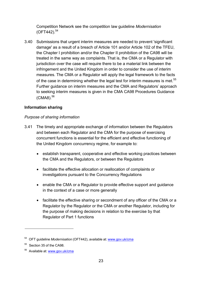Competition Network see the competition law guideline *Modernisation*  $(OFT442).$ <sup>[54](#page-25-1)</sup>

<span id="page-25-4"></span>3.40 Submissions that urgent interim measures are needed to prevent 'significant damage' as a result of a breach of Article 101 and/or Article 102 of the TFEU, the Chapter I prohibition and/or the Chapter II prohibition of the CA98 will be treated in the same way as complaints. That is, the CMA or a Regulator with jurisdiction over the case will require there to be a material link between the infringement and the United Kingdom in order to consider the use of interim measures. The CMA or a Regulator will apply the legal framework to the facts of the case in determining whether the legal test for interim measures is met.<sup>[55](#page-25-2)</sup> Further guidance on interim measures and the CMA and Regulators' approach to seeking interim measures is given in the CMA CA98 Procedures Guidance (CMA8).[56](#page-25-3)

## **Information sharing**

## *Purpose of sharing information*

- <span id="page-25-0"></span>3.41 The timely and appropriate exchange of information between the Regulators and between each Regulator and the CMA for the purpose of exercising concurrent functions is essential for the efficient and effective functioning of the United Kingdom concurrency regime, for example to:
	- establish transparent, cooperative and effective working practices between the CMA and the Regulators, or between the Regulators
	- facilitate the effective allocation or reallocation of complaints or investigations pursuant to the Concurrency Regulations
	- enable the CMA or a Regulator to provide effective support and guidance in the context of a case or more generally
	- facilitate the effective sharing or secondment of any officer of the CMA or a Regulator by the Regulator or the CMA or another Regulator, including for the purpose of making decisions in relation to the exercise by that Regulator of Part 1 functions

<span id="page-25-1"></span><sup>54</sup> OFT guideline *Modernisation* (OFT442), available at: [www.gov.uk/cma](http://www.gov.uk/cma)

<span id="page-25-2"></span><sup>55</sup> Section 35 of the CA98.

<span id="page-25-3"></span><sup>56</sup> Available at: [www.gov.uk/cma](http://www.gov.uk/cma)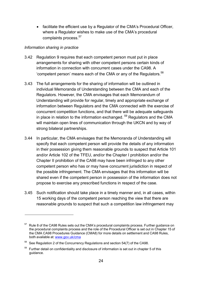facilitate the efficient use by a Regulator of the CMA's Procedural Officer, where a Regulator wishes to make use of the CMA's procedural complaints process.<sup>[57](#page-26-0)</sup>

#### *Information sharing in practice*

- 3.42 Regulation 9 requires that each competent person must put in place arrangements for sharing with other competent persons certain kinds of information in connection with concurrent cases under the CA98. A 'competent person' means each of the CMA or any of the Regulators. $58$
- 3.43 The full arrangements for the sharing of information will be outlined in individual Memoranda of Understanding between the CMA and each of the Regulators. However, the CMA envisages that each Memorandum of Understanding will provide for regular, timely and appropriate exchange of information between Regulators and the CMA connected with the exercise of concurrent competition functions, and that there will be adequate safeguards in place in relation to the information exchanged.  $59$  Regulators and the CMA will maintain open lines of communication through the UKCN and by way of strong bilateral partnerships.
- 3.44 In particular, the CMA envisages that the Memoranda of Understanding will specify that each competent person will provide the details of any information in their possession giving them reasonable grounds to suspect that Article 101 and/or Article 102 of the TFEU, and/or the Chapter I prohibition and/or the Chapter II prohibition of the CA98 may have been infringed to any other competent person who has or may have concurrent jurisdiction in respect of the possible infringement. The CMA envisages that this information will be shared even if the competent person in possession of the information does not propose to exercise any prescribed functions in respect of the case.
- 3.45 Such notification should take place in a timely manner and, in all cases, within 15 working days of the competent person reaching the view that there are reasonable grounds to suspect that such a competition law infringement may

<span id="page-26-0"></span><sup>&</sup>lt;sup>57</sup> Rule 8 of the CA98 Rules sets out the CMA's procedural complaints process. Further guidance on the procedural complaints process and the role of the Procedural Officer is set out in Chapter 15 of the CMA CA98 Procedures Guidance (CMA8) for more details on settlement and CA98 Rules, both available at: [www.gov.uk/cma](http://www.gov.uk/cma)

<span id="page-26-1"></span> $58$  See Regulation 2 of the Concurrency Regulations and section 54(7) of the CA98.

<span id="page-26-2"></span> $59$  Further detail on confidentiality and disclosure of information is set out in chapter 5 of this guidance.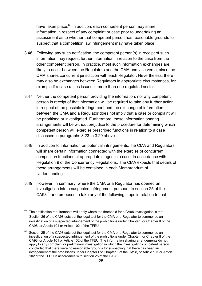have taken place.<sup>[60](#page-27-0)</sup> In addition, each competent person may share information in respect of any complaint or case prior to undertaking an assessment as to whether that competent person has reasonable grounds to suspect that a competition law infringement may have taken place.

- 3.46 Following any such notification, the competent person(s) in receipt of such information may request further information in relation to the case from the other competent person. In practice, most such information exchanges are likely to occur between the Regulators and the CMA and vice versa, since the CMA shares concurrent jurisdiction with each Regulator. Nevertheless, there may also be exchanges between Regulators in appropriate circumstances, for example if a case raises issues in more than one regulated sector.
- 3.47 Neither the competent person providing the information, nor any competent person in receipt of that information will be required to take any further action in respect of the possible infringement and the exchange of information between the CMA and a Regulator does not imply that a case or complaint will be prioritised or investigated. Furthermore, these information sharing arrangements will be without prejudice to the procedure for determining which competent person will exercise prescribed functions in relation to a case discussed in paragraphs [3.23](#page-19-0) to [3.29](#page-21-0) above.
- 3.48 In addition to information on potential infringements, the CMA and Regulators will share certain information connected with the exercise of concurrent competition functions at appropriate stages in a case, in accordance with Regulation 9 of the Concurrency Regulations. The CMA expects that details of these arrangements will be contained in each Memorandum of Understanding.
- 3.49 However, in summary, where the CMA or a Regulator has opened an investigation into a suspected infringement pursuant to section 25 of the  $C A98<sup>61</sup>$  $C A98<sup>61</sup>$  $C A98<sup>61</sup>$  and proposes to take any of the following steps in relation to that

<span id="page-27-0"></span> $60$  The notification requirements will apply where the threshold for a CA98 investigation is met. Section 25 of the CA98 sets out the legal test for the CMA or a Regulator to commence an investigation of a suspected infringement of the prohibitions under Chapter I or Chapter II of the CA98, or Article 101 or Article 102 of the TFEU.

<span id="page-27-1"></span> $61$  Section 25 of the CA98 sets out the legal test for the CMA or a Regulator to commence an investigation of a suspected infringement of the prohibitions under Chapter I or Chapter II of the CA98, or Article 101 or Article 102 of the TFEU. The information sharing arrangements do not apply to any complaint or preliminary investigation in which the investigating competent person concluded that there were no reasonable grounds for suspecting that there has been an infringement of the prohibitions under Chapter I or Chapter II of the CA98, or Article 101 or Article 102 of the TFEU in accordance with section 25 of the CA98.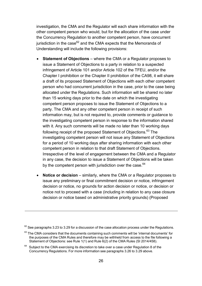investigation, the CMA and the Regulator will each share information with the other competent person who would, but for the allocation of the case under the Concurrency Regulation to another competent person, have concurrent jurisdiction in the case $62$  and the CMA expects that the Memoranda of Understanding will include the following provisions:

- **Statement of Objections** where the CMA or a Regulator proposes to issue a Statement of Objections to a party in relation to a suspected infringement of Article 101 and/or Article 102 of the TFEU, and/or the Chapter I prohibition or the Chapter II prohibition of the CA98, it will share a draft of its proposed Statement of Objections with each other competent person who had concurrent jurisdiction in the case, prior to the case being allocated under the Regulations. Such information will be shared no later than 15 working days prior to the date on which the investigating competent person proposes to issue the Statement of Objections to a party. The CMA and any other competent person in receipt of such information may, but is not required to, provide comments or guidance to the investigating competent person in response to the information shared with it. Any such comments will be made no later than 10 working days following receipt of the proposed Statement of Objections.<sup>[63](#page-28-1)</sup> The investigating competent person will not issue any Statement of Objections for a period of 10 working days after sharing information with each other competent person in relation to that draft Statement of Objections. Irrespective of the level of engagement between the CMA and a Regulator in any case, the decision to issue a Statement of Objections will be taken by the competent person with jurisdiction over the case. $64$
- **Notice or decision** similarly, where the CMA or a Regulator proposes to issue any preliminary or final commitment decision or notice, infringement decision or notice, no grounds for action decision or notice, or decision or notice not to proceed with a case (including in relation to any case closure decision or notice based on administrative priority grounds) (Proposed

<span id="page-28-0"></span> $62$  See paragraphs [3.23](#page-19-0) to [3.29](#page-21-0) for a discussion of the case allocation process under the Regulations.

<span id="page-28-1"></span> $63$  The CMA considers that the documents containing such comments will be 'internal documents' for the purposes of the CMA Rules and therefore may be withheld from access to the file following a Statement of Objections: see Rule 1(1) and Rule 6(2) of the CMA Rules (SI 2014/458).

<span id="page-28-2"></span> $64$  Subiect to the CMA exercising its discretion to take over a case under Regulation 8 of the Concurrency Regulations. For more information see paragraphs [3.26](#page-20-0) to [3.29](#page-21-0) above.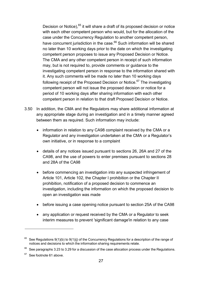Decision or Notice),  $65$  it will share a draft of its proposed decision or notice with each other competent person who would, but for the allocation of the case under the Concurrency Regulation to another competent person, have concurrent jurisdiction in the case.<sup>[66](#page-29-1)</sup> Such information will be shared no later than 10 working days prior to the date on which the investigating competent person proposes to issue any Proposed Decision or Notice. The CMA and any other competent person in receipt of such information may, but is not required to, provide comments or guidance to the investigating competent person in response to the information shared with it. Any such comments will be made no later than 10 working days following receipt of the Proposed Decision or Notice. $67$  The investigating competent person will not issue the proposed decision or notice for a period of 10 working days after sharing information with each other competent person in relation to that draft Proposed Decision or Notice.

- 3.50 In addition, the CMA and the Regulators may share additional information at any appropriate stage during an investigation and in a timely manner agreed between them as required. Such information may include:
	- information in relation to any CA98 complaint received by the CMA or a Regulator and any investigation undertaken at the CMA or a Regulator's own initiative, or in response to a complaint
	- details of any notices issued pursuant to sections 26, 26A and 27 of the CA98, and the use of powers to enter premises pursuant to sections 28 and 28A of the CA98
	- before commencing an investigation into any suspected infringement of Article 101, Article 102, the Chapter I prohibition or the Chapter II prohibition, notification of a proposed decision to commence an investigation, including the information on which the proposed decision to open an investigation was made
	- before issuing a case opening notice pursuant to section 25A of the CA98
	- any application or request received by the CMA or a Regulator to seek interim measures to prevent 'significant damage'in relation to any case

<span id="page-29-0"></span> $65$  See Regulations 9(1)(b) to 9(1)(j) of the Concurrency Regulations for a description of the range of notices and decisions to which the information sharing requirements relate.

<span id="page-29-1"></span> $66$  See paragraphs [3.23](#page-19-0) to [3.29](#page-21-0) for a discussion of the case allocation process under the Regulations.

<span id="page-29-2"></span> $67$  See footnote 61 above.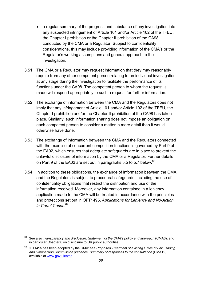- a regular summary of the progress and substance of any investigation into any suspected infringement of Article 101 and/or Article 102 of the TFEU, the Chapter I prohibition or the Chapter II prohibition of the CA98 conducted by the CMA or a Regulator. Subject to confidentiality considerations, this may include providing information of the CMA's or the Regulator's working assumptions and general approach to the investigation.
- 3.51 The CMA or a Regulator may request information that they may reasonably require from any other competent person relating to an individual investigation at any stage during the investigation to facilitate the performance of its functions under the CA98. The competent person to whom the request is made will respond appropriately to such a request for further information.
- 3.52 The exchange of information between the CMA and the Regulators does not imply that any infringement of Article 101 and/or Article 102 of the TFEU, the Chapter I prohibition and/or the Chapter II prohibition of the CA98 has taken place. Similarly, such information sharing does not impose an obligation on each competent person to consider a matter in more detail than it would otherwise have done.
- 3.53 The exchange of information between the CMA and the Regulators connected with the exercise of concurrent competition functions is governed by Part 9 of the EA02, which ensures that adequate safeguards are in place to prevent the unlawful disclosure of information by the CMA or a Regulator. Further details on Part 9 of the EA02 are set out in paragraphs [5.5](#page-41-1) to [5.7](#page-42-0) below.<sup>[68](#page-30-1)</sup>
- <span id="page-30-0"></span>3.54 In addition to these obligations, the exchange of information between the CMA and the Regulators is subject to procedural safeguards, including the use of confidentiality obligations that restrict the distribution and use of the information received. Moreover, any information contained in a leniency application made to the CMA will be treated in accordance with the principles and protections set out in OFT1495, *Applications for Leniency and No-Action in Cartel Cases.*[69](#page-30-2)

<span id="page-30-1"></span><sup>68</sup> See also *Transparency and disclosure: Statement of the CMA's policy and approach* (CMA6), and in particular Chapter 6 on disclosure to UK public authorities.

<span id="page-30-2"></span><sup>69</sup> OFT1495 has been adopted by the CMA: see *Proposed Treatment of existing Office of Fair Trading and Competition Commission guidance, Summary of responses to the consultation* (CMA12) available at [www.gov.uk/cma](http://www.gov.uk/cma)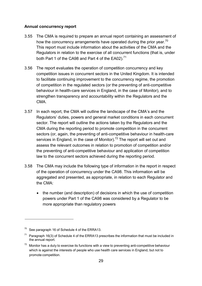#### **Annual concurrency report**

- 3.55 The CMA is required to prepare an annual report containing an assessment of how the concurrency arrangements have operated during the prior year.<sup>[70](#page-31-0)</sup> This report must include information about the activities of the CMA and the Regulators in relation to the exercise of all concurrent functions (that is, under both Part 1 of the CA98 and Part 4 of the EA02). $^{71}$  $^{71}$  $^{71}$
- 3.56 The report evaluates the operation of competition concurrency and key competition issues in concurrent sectors in the United Kingdom. It is intended to facilitate continuing improvement to the concurrency regime, the promotion of competition in the regulated sectors (or the preventing of anti-competitive behaviour in health-care services in England, in the case of Monitor), and to strengthen transparency and accountability within the Regulators and the CMA.
- 3.57 In each report, the CMA will outline the landscape of the CMA's and the Regulators' duties, powers and general market conditions in each concurrent sector. The report will outline the actions taken by the Regulators and the CMA during the reporting period to promote competition in the concurrent sectors (or, again, the preventing of anti-competitive behaviour in health-care services in England, in the case of Monitor).<sup>[72](#page-31-2)</sup> The report will set out and assess the relevant outcomes in relation to promotion of competition and/or the preventing of anti-competitive behaviour and application of competition law to the concurrent sectors achieved during the reporting period.
- 3.58 The CMA may include the following type of information in the report in respect of the operation of concurrency under the CA98. This information will be aggregated and presented, as appropriate, in relation to each Regulator and the CMA:
	- the number (and description) of decisions in which the use of competition powers under Part 1 of the CA98 was considered by a Regulator to be more appropriate than regulatory powers

<span id="page-31-0"></span> $70$  See paragraph 16 of Schedule 4 of the ERRA13.

<span id="page-31-1"></span> $71$  Paragraph 16(3) of Schedule 4 of the ERRA13 prescribes the information that must be included in the annual report.

<span id="page-31-2"></span> $72$  Monitor has a duty to exercise its functions with a view to preventing anti-competitive behaviour which is against the interests of people who use health care services in England, but not to promote competition.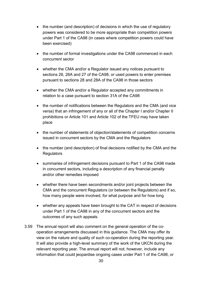- the number (and description) of decisions in which the use of regulatory powers was considered to be more appropriate than competition powers under Part 1 of the CA98 (in cases where competition powers could have been exercised)
- the number of formal investigations under the CA98 commenced in each concurrent sector
- whether the CMA and/or a Regulator issued any notices pursuant to sections 26, 26A and 27 of the CA98, or used powers to enter premises pursuant to sections 28 and 28A of the CA98 in those sectors
- whether the CMA and/or a Regulator accepted any commitments in relation to a case pursuant to section 31A of the CA98
- the number of notifications between the Regulators and the CMA (and vice versa) that an infringement of any or all of the Chapter I and/or Chapter II prohibitions or Article 101 and Article 102 of the TFEU may have taken place
- the number of statements of objection/statements of competition concerns issued in concurrent sectors by the CMA and the Regulators
- the number (and description) of final decisions notified by the CMA and the **Regulators**
- summaries of infringement decisions pursuant to Part 1 of the CA98 made in concurrent sectors, including a description of any financial penalty and/or other remedies imposed
- whether there have been secondments and/or joint projects between the CMA and the concurrent Regulators (or between the Regulators) and if so, how many people were involved, for what purpose and for how long
- whether any appeals have been brought to the CAT in respect of decisions under Part 1 of the CA98 in any of the concurrent sectors and the outcomes of any such appeals.
- 3.59 The annual report will also comment on the general operation of the cooperation arrangements discussed in this guidance. The CMA may offer its view on the nature and quality of such co-operation during the reporting year. It will also provide a high-level summary of the work of the UKCN during the relevant reporting year. The annual report will not, however, include any information that could jeopardise ongoing cases under Part 1 of the CA98, or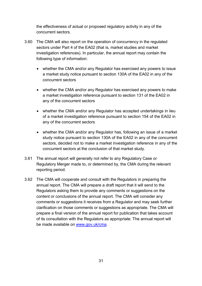the effectiveness of actual or proposed regulatory activity in any of the concurrent sectors.

- 3.60 The CMA will also report on the operation of concurrency in the regulated sectors under Part 4 of the EA02 (that is, market studies and market investigation references). In particular, the annual report may contain the following type of information:
	- whether the CMA and/or any Regulator has exercised any powers to issue a market study notice pursuant to section 130A of the EA02 in any of the concurrent sectors
	- whether the CMA and/or any Regulator has exercised any powers to make a market investigation reference pursuant to section 131 of the EA02 in any of the concurrent sectors
	- whether the CMA and/or any Regulator has accepted undertakings in lieu of a market investigation reference pursuant to section 154 of the EA02 in any of the concurrent sectors
	- whether the CMA and/or any Regulator has, following an issue of a market study notice pursuant to section 130A of the EA02 in any of the concurrent sectors, decided not to make a market investigation reference in any of the concurrent sectors at the conclusion of that market study.
- 3.61 The annual report will generally not refer to any Regulatory Case or Regulatory Merger made to, or determined by, the CMA during the relevant reporting period.
- 3.62 The CMA will cooperate and consult with the Regulators in preparing the annual report. The CMA will prepare a draft report that it will send to the Regulators asking them to provide any comments or suggestions on the content or conclusions of the annual report. The CMA will consider any comments or suggestions it receives from a Regulator and may seek further clarification on those comments or suggestions as appropriate. The CMA will prepare a final version of the annual report for publication that takes account of its consultation with the Regulators as appropriate. The annual report will be made available on [www.gov.uk/cma.](http://www.gov.uk/cma)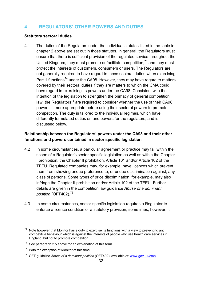# <span id="page-34-0"></span>**4 REGULATORS' OTHER POWERS AND DUTIES**

#### **Statutory sectoral duties**

4.1 The duties of the Regulators under the individual statutes listed in the table in chapter 2 above are set out in those statutes. In general, the Regulators must ensure that there is sufficient provision of the regulated service throughout the United Kingdom, they must promote or facilitate competition,  $73$  and they must protect the interests of customers, consumers or users. The Regulators are not generally required to have regard to those sectoral duties when exercising Part 1 functions<sup>74</sup> under the CA98. However, they may have regard to matters covered by their sectoral duties if they are matters to which the CMA could have regard in exercising its powers under the CA98. Consistent with the intention of the legislation to strengthen the primacy of general competition law, the Regulators<sup>75</sup> are required to consider whether the use of their CA98 powers is more appropriate before using their sectoral powers to promote competition. The duty is tailored to the individual regimes, which have differently formulated duties on and powers for the regulators, and is discussed below.

## **Relationship between the Regulators' powers under the CA98 and their other functions and powers contained in sector specific legislation**

- 4.2 In some circumstances, a particular agreement or practice may fall within the scope of a Regulator's sector specific legislation as well as within the Chapter I prohibition, the Chapter II prohibition, Article 101 and/or Article 102 of the TFEU. Regulated companies may, for example, have licences which prevent them from showing undue preference to, or undue discrimination against, any class of persons. Some types of price discrimination, for example, may also infringe the Chapter II prohibition and/or Article 102 of the TFEU. Further details are given in the competition law guidance *Abuse of a dominant position* (OFT402).[76](#page-34-4)
- 4.3 In some circumstances, sector-specific legislation requires a Regulator to enforce a licence condition or a statutory provision; sometimes, however, it

<span id="page-34-1"></span> $73$  Note however that Monitor has a duty to exercise its functions with a view to preventing anti competitive behaviour which is against the interests of people who use health care services in England, but not to promote competition.

<span id="page-34-2"></span> $74$  See paragraph [2.5](#page-10-4) above for an explanation of this term.

<span id="page-34-3"></span> $75$  With the exception of Monitor at this time.

<span id="page-34-4"></span><sup>76</sup> OFT guideline *Abuse of a dominant position* (OFT402), available at: [www.gov.uk/cma](http://www.gov.uk/cma)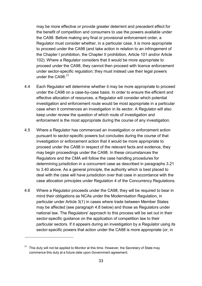may be more effective or provide greater deterrent and precedent effect for the benefit of competition and consumers to use the powers available under the CA98. Before making any final or provisional enforcement order, a Regulator must consider whether, in a particular case, it is more appropriate to proceed under the CA98 (and take action in relation to an infringement of the Chapter I prohibition, the Chapter II prohibition, Article 101 and/or Article 102). Where a Regulator considers that it would be more appropriate to proceed under the CA98, they cannot then proceed with licence enforcement under sector-specific regulation; they must instead use their legal powers under the CA98.<sup>[77](#page-35-0)</sup>

- 4.4 Each Regulator will determine whether it may be more appropriate to proceed under the CA98 on a case-by-case basis. In order to ensure the efficient and effective allocation of resources, a Regulator will consider which potential investigation and enforcement route would be most appropriate in a particular case when it commences an investigation in its sector. A Regulator will also keep under review the question of which route of investigation and enforcement is the most appropriate during the course of any investigation.
- 4.5 Where a Regulator has commenced an investigation or enforcement action pursuant to sector-specific powers but concludes during the course of that investigation or enforcement action that it would be more appropriate to proceed under the CA98 in respect of the relevant facts and evidence, they may begin proceedings under the CA98. In these circumstances the Regulators and the CMA will follow the case handling procedures for determining jurisdiction in a concurrent case as described in paragraphs [3.21](#page-18-0) to [3.40](#page-25-4) above. As a general principle, the authority which is best placed to deal with the case will have jurisdiction over that case in accordance with the case allocation principles under Regulation 4 of the Concurrency Regulations.
- 4.6 Where a Regulator proceeds under the CA98, they will be required to bear in mind their obligations as NCAs under the Modernisation Regulation, in particular under Article 3(1) in cases where trade between Member States may be affected (see paragraph [4.8](#page-36-0) below) and those as Regulators under national law. The Regulators' approach to this process will be set out in their sector-specific guidance on the application of competition law to their particular sectors. If it appears during an investigation by a Regulator using its sector-specific powers that action under the CA98 is more appropriate (or, in

<span id="page-35-0"></span> $77$  This duty will not be applied to Monitor at this time. However, the Secretary of State may commence this duty at a future date upon Government agreement.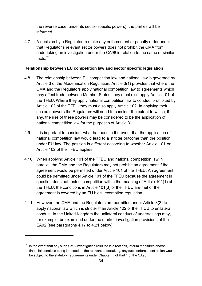the reverse case, under its sector-specific powers), the parties will be informed.

4.7 A decision by a Regulator to make any enforcement or penalty order under that Regulator's relevant sector powers does not prohibit the CMA from undertaking an investigation under the CA98 in relation to the same or similar facts $^{78}$  $^{78}$  $^{78}$ 

## **Relationship between EU competition law and sector specific legislation**

- <span id="page-36-0"></span>4.8 The relationship between EU competition law and national law is governed by Article 3 of the Modernisation Regulation. Article 3(1) provides that where the CMA and the Regulators apply national competition law to agreements which may affect trade between Member States, they must also apply Article 101 of the TFEU. Where they apply national competition law to conduct prohibited by Article 102 of the TFEU they must also apply Article 102. In applying their sectoral powers the Regulators will need to consider the extent to which, if any, the use of these powers may be considered to be the application of national competition law for the purposes of Article 3.
- 4.9 It is important to consider what happens in the event that the application of national competition law would lead to a stricter outcome than the position under EU law. The position is different according to whether Article 101 or Article 102 of the TFEU applies.
- 4.10 When applying Article 101 of the TFEU and national competition law in parallel, the CMA and the Regulators may not prohibit an agreement if the agreement would be permitted under Article 101 of the TFEU. An agreement could be permitted under Article 101 of the TFEU because the agreement in question does not restrict competition within the meaning of Article 101(1) of the TFEU, the conditions in Article 101(3) of the TFEU are met or the agreement is covered by an EU block exemption regulation.
- 4.11 However, the CMA and the Regulators are permitted under Article 3(2) to apply national law which is stricter than Article 102 of the TFEU to unilateral conduct. In the United Kingdom the unilateral conduct of undertakings may, for example, be examined under the market investigation provisions of the EA02 (see paragraphs [4.17](#page-38-0) to [4.21](#page-39-0) below).

<span id="page-36-1"></span> $78$  In the event that any such CMA investigation resulted in directions, interim measures and/or financial penalties being imposed on the relevant undertaking, any such enforcement action would be subject to the statutory requirements under Chapter III of Part 1 of the CA98.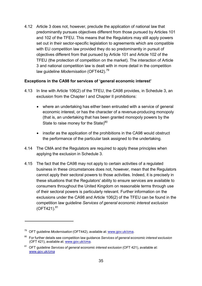4.12 Article 3 does not, however, preclude the application of national law that predominantly pursues objectives different from those pursued by Articles 101 and 102 of the TFEU. This means that the Regulators may still apply powers set out in their sector-specific legislation to agreements which are compatible with EU competition law provided they do so predominantly in pursuit of objectives different from that pursued by Article 101 and Article 102 of the TFEU (the protection of competition on the market). The interaction of Article 3 and national competition law is dealt with in more detail in the competition law guideline *Modernisation* (OFT442).[79](#page-37-0)

## **Exceptions in the CA98 for services of 'general economic interest'**

- 4.13 In line with Article 106(2) of the TFEU, the CA98 provides, in Schedule 3, an exclusion from the Chapter I and Chapter II prohibitions:
	- where an undertaking has either been entrusted with a service of general economic interest, or has the character of a revenue-producing monopoly (that is, an undertaking that has been granted monopoly powers by the State to raise money for the State) $80$
	- insofar as the application of the prohibitions in the CA98 would obstruct the performance of the particular task assigned to the undertaking.
- 4.14 The CMA and the Regulators are required to apply these principles when applying the exclusion in Schedule 3.
- 4.15 The fact that the CA98 may not apply to certain activities of a regulated business in these circumstances does not, however, mean that the Regulators cannot apply their sectoral powers to those activities. Indeed, it is precisely in these situations that the Regulators' ability to ensure services are available to consumers throughout the United Kingdom on reasonable terms through use of their sectoral powers is particularly relevant. Further information on the exclusions under the CA98 and Article 106(2) of the TFEU can be found in the competition law guideline *Services of general economic interest exclusion*  $(OFT421).$ <sup>[81](#page-37-2)</sup>

<span id="page-37-0"></span><sup>79</sup> OFT guideline *Modernisation* (OFT442), available at: [www.gov.uk/cma.](http://www.gov.uk/cma)

<span id="page-37-1"></span><sup>80</sup> For further details see competition law guidance *Services of general economic interest exclusion* (OFT 421), available at: [www.gov.uk/cma.](http://www.gov.uk/cma)

<span id="page-37-2"></span><sup>81</sup> OFT guideline *Services of general economic interest exclusion* (OFT 421), available at: [www.gov.uk/cma](http://www.gov.uk/cma)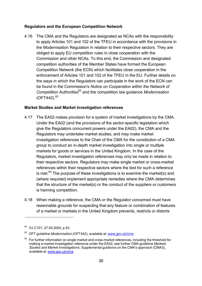#### **Regulators and the European Competition Network**

<span id="page-38-4"></span>4.16 The CMA and the Regulators are designated as NCAs with the responsibility to apply Articles 101 and 102 of the TFEU in accordance with the provisions in the Modernisation Regulation in relation to their respective sectors. They are obliged to apply EU competition rules in close cooperation with the Commission and other NCAs. To this end, the Commission and designated competition authorities of the Member States have formed the European Competition Network (the ECN) which facilitates close cooperation in the enforcement of Articles 101 and 102 of the TFEU in the EU. Further details on the ways in which the Regulators can participate in the work of the ECN can be found in the Commission's *Notice on Cooperation within the Network of Competition Authorities*[82](#page-38-1) and the competition law guidance *Modernisation*  $(OFT442).$ <sup>[83](#page-38-2)</sup>

#### **Market Studies and Market investigation references**

- <span id="page-38-0"></span>4.17 The EA02 makes provision for a system of market investigations by the CMA. Under the EA02 (and the provisions of the sector-specific legislation which give the Regulators concurrent powers under the EA02), the CMA and the Regulators may undertake market studies, and may make market investigation references to the Chair of the CMA for the constitution of a CMA group to conduct an in-depth market investigation into single or multiple markets for goods or services in the United Kingdom. In the case of the Regulators, market investigation references may only be made in relation to their respective sectors. Regulators may make single market or cross-market references within their respective sectors where the test for such a reference is met. $84$  The purpose of these investigations is to examine the market(s) and (where required) implement appropriate remedies where the CMA determines that the structure of the market(s) or the conduct of the suppliers or customers is harming competition.
- 4.18 When making a reference, the CMA or the Regulator concerned must have reasonable grounds for suspecting that any feature or combination of features of a market or markets in the United Kingdom prevents, restricts or distorts

<span id="page-38-1"></span><sup>82</sup> OJ C101, 27.04.2004, p.43.

<span id="page-38-2"></span><sup>83</sup> OFT guideline *Modernisation* (OFT442), available at: [www.gov.uk/cma](http://www.gov.uk/cma)

<span id="page-38-3"></span> $84$  For further information on single market and cross-market references, including the threshold for making a market investigation reference under the EA02, see further CMA guideline *Markets Studies and Market Investigations: Supplemental guidance on the CMA's approach* (CMA3), available at: [www.gov.uk/cma](http://www.gov.uk/cma)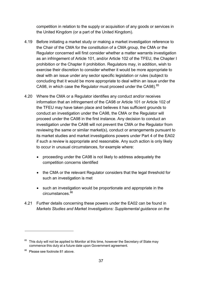competition in relation to the supply or acquisition of any goods or services in the United Kingdom (or a part of the United Kingdom).

- 4.19 Before initiating a market study or making a market investigation reference to the Chair of the CMA for the constitution of a CMA group, the CMA or the Regulator concerned will first consider whether a matter warrants investigation as an infringement of Article 101, and/or Article 102 of the TFEU, the Chapter I prohibition or the Chapter II prohibition. Regulators may, in addition, wish to exercise their discretion to consider whether it would be more appropriate to deal with an issue under any sector specific legislation or rules (subject to concluding that it would be more appropriate to deal within an issue under the CA98, in which case the Regulator must proceed under the CA98).<sup>[85](#page-39-1)</sup>
- 4.20 Where the CMA or a Regulator identifies any conduct and/or receives information that an infringement of the CA98 or Article 101 or Article 102 of the TFEU may have taken place and believes it has sufficient grounds to conduct an investigation under the CA98, the CMA or the Regulator will proceed under the CA98 in the first instance. Any decision to conduct an investigation under the CA98 will not prevent the CMA or the Regulator from reviewing the same or similar market(s), conduct or arrangements pursuant to its market studies and market investigations powers under Part 4 of the EA02 if such a review is appropriate and reasonable. Any such action is only likely to occur in unusual circumstances, for example where:
	- proceeding under the CA98 is not likely to address adequately the competition concerns identified
	- the CMA or the relevant Regulator considers that the legal threshold for such an investigation is met
	- such an investigation would be proportionate and appropriate in the circumstances.<sup>[86](#page-39-2)</sup>
- <span id="page-39-0"></span>4.21 Further details concerning these powers under the EA02 can be found in *Markets Studies and Market Investigations: Supplemental guidance on the*

<span id="page-39-1"></span>This duty will not be applied to Monitor at this time, however the Secretary of State may commence this duty at a future date upon Government agreement.

<span id="page-39-2"></span><sup>86</sup> Please see footnote 81 above.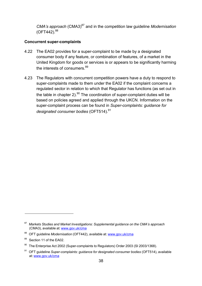*CMA's approach* (CMA3)<sup>87</sup> and in the competition law quideline *Modernisation*  $(OFT442).$ <sup>[88](#page-40-1)</sup>

#### **Concurrent super-complaints**

- 4.22 The EA02 provides for a super-complaint to be made by a designated consumer body if any feature, or combination of features, of a market in the United Kingdom for goods or services is or appears to be significantly harming the interests of consumers.<sup>[89](#page-40-2)</sup>
- 4.23 The Regulators with concurrent competition powers have a duty to respond to super-complaints made to them under the EA02 if the complaint concerns a regulated sector in relation to which that Regulator has functions (as set out in the table in chapter 2). $90$  The coordination of super-complaint duties will be based on policies agreed and applied through the UKCN. Information on the super-complaint process can be found in *Super-complaints: guidance for designated consumer bodies* (OFT514).<sup>[91](#page-40-4)</sup>

<span id="page-40-0"></span><sup>87</sup>*Markets Studies and Market Investigations: Supplemental guidance on the CMA's approach* (CMA3), available at: [www.gov.uk/cma](http://www.gov.uk/cma)

<span id="page-40-1"></span><sup>88</sup> OFT guideline *Modernisation* (OFT442), available at: [www.gov.uk/cma](http://www.gov.uk/cma)

<span id="page-40-2"></span>Section 11 of the EA02.

<span id="page-40-3"></span>The Enterprise Act 2002 (Super-complaints to Regulators) Order 2003 (SI 2003/1368).

<span id="page-40-4"></span><sup>91</sup> OFT guideline *Super-complaints: guidance for designated consumer bodies* (OFT514), available at: [www.gov.uk/cma](http://www.gov.uk/cma)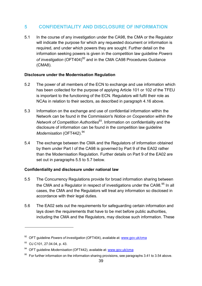# <span id="page-41-0"></span>**5 CONFIDENTIALITY AND DISCLOSURE OF INFORMATION**

5.1 In the course of any investigation under the CA98, the CMA or the Regulator will indicate the purpose for which any requested document or information is required, and under which powers they are sought. Further detail on the information seeking powers is given in the competition law guideline *Powers* of investigation (OFT404)<sup>92</sup> and in the CMA CA98 Procedures Guidance (CMA8).

## **Disclosure under the Modernisation Regulation**

- 5.2 The power of all members of the ECN to exchange and use information which has been collected for the purpose of applying Article 101 or 102 of the TFEU is important to the functioning of the ECN. Regulators will fulfil their role as NCAs in relation to their sectors, as described in paragraph [4.16](#page-38-4) above.
- 5.3 Information on the exchange and use of confidential information within the Network can be found in the Commission's *Notice on Cooperation within the Network of Competition Authorities*[93.](#page-41-3) Information on confidentiality and the disclosure of information can be found in the competition law guideline *Modernisation* (OFT442).<sup>[94](#page-41-4)</sup>
- 5.4 The exchange between the CMA and the Regulators of information obtained by them under Part I of the CA98 is governed by Part 9 of the EA02 rather than the Modernisation Regulation. Further details on Part 9 of the EA02 are set out in paragraphs [5.5](#page-41-1) to [5.7](#page-42-0) below.

## **Confidentiality and disclosure under national law**

- <span id="page-41-1"></span>5.5 The Concurrency Regulations provide for broad information sharing between the CMA and a Regulator in respect of investigations under the CA98.<sup>[95](#page-41-5)</sup> In all cases, the CMA and the Regulators will treat any information so disclosed in accordance with their legal duties.
- 5.6 The EA02 sets out the requirements for safeguarding certain information and lays down the requirements that have to be met before public authorities, including the CMA and the Regulators, may disclose such information. These

<span id="page-41-2"></span><sup>92</sup> OFT guideline *Powers of investigation* (OFT404), available at: [www.gov.uk/cma](http://www.gov.uk/cma)

<span id="page-41-3"></span><sup>93</sup> OJ C101, 27.04.04, p. 43.

<span id="page-41-4"></span><sup>94</sup> OFT guideline *Modernisation* (OFT442), available at: [www.gov.uk/cma](http://www.gov.uk/cma)

<span id="page-41-5"></span> $95$  For further information on the information sharing provisions, see paragraphs [3.41](#page-25-0) to [3.54](#page-30-0) above.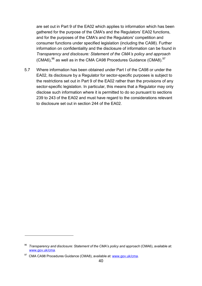are set out in Part 9 of the EA02 which applies to information which has been gathered for the purpose of the CMA's and the Regulators' EA02 functions, and for the purposes of the CMA's and the Regulators' competition and consumer functions under specified legislation (including the CA98). Further information on confidentiality and the disclosure of information can be found in *Transparency and disclosure: Statement of the CMA's policy and approach*  $(CMA6)$ ,<sup>[96](#page-42-1)</sup> as well as in the CMA CA98 Procedures Guidance  $(CMA8)$ .<sup>[97](#page-42-2)</sup>

<span id="page-42-0"></span>5.7 Where information has been obtained under Part I of the CA98 or under the EA02, its disclosure by a Regulator for sector-specific purposes is subject to the restrictions set out in Part 9 of the EA02 rather than the provisions of any sector-specific legislation. In particular, this means that a Regulator may only disclose such information where it is permitted to do so pursuant to sections 239 to 243 of the EA02 and must have regard to the considerations relevant to disclosure set out in section 244 of the EA02.

<span id="page-42-1"></span><sup>96</sup>*Transparency and disclosure: Statement of the CMA's policy and approach* (CMA6), available at: [www.gov.uk/cma.](http://www.gov.uk/cma)

<span id="page-42-2"></span><sup>97</sup> CMA CA98 Procedures Guidance (CMA8), available at: [www.gov.uk/cma.](http://www.gov.uk/cma)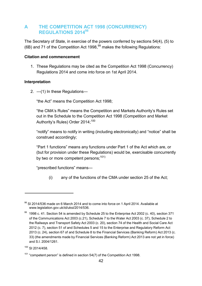## <span id="page-44-0"></span>**A THE COMPETITION ACT 1998 (CONCURRENCY) REGULATIONS 201[498](#page-44-1)**

The Secretary of State, in exercise of the powers conferred by sections 54(4), (5) to (6B) and 71 of the Competition Act 1[99](#page-44-2)8,  $99$  makes the following Regulations:

## **Citation and commencement**

1. These Regulations may be cited as the Competition Act 1998 (Concurrency) Regulations 2014 and come into force on 1st April 2014.

## **Interpretation**

2.  $-$ (1) In these Regulations-

"the Act" means the Competition Act 1998;

"the CMA's Rules" means the Competition and Markets Authority's Rules set out in the Schedule to the Competition Act 1998 (Competition and Market Authority's Rules) Order 2014;<sup>[100](#page-44-3)</sup>

"notify" means to notify in writing (including electronically) and "notice" shall be construed accordingly;

"Part 1 functions" means any functions under Part 1 of the Act which are, or (but for provision under these Regulations) would be, exercisable concurrently by two or more competent persons:  $101$ )

"prescribed functions" means—

(i) any of the functions of the CMA under section 25 of the Act;

<span id="page-44-1"></span> $98$  SI 2014/536 made on 6 March 2014 and to come into force on 1 April 2014. Available at [www.legislation.gov.uk/id/uksi/2014/536.](http://www.legislation.gov.uk/id/uksi/2014/536)

<span id="page-44-2"></span> $99$  1998 c. 41. Section 54 is amended by Schedule 25 to the Enterprise Act 2002 (c. 40), section 371 of the Communications Act 2003 (c.21), Schedule 7 to the Water Act 2003 (c. 37), Schedule 2 to the Railways and Transport Safety Act 2003 (c. 20), section 74 of the Health and Social Care Act 2012 (c. 7), section 51 of and Schedules 5 and 15 to the Enterprise and Regulatory Reform Act 2013 (c. 24), section 67 of and Schedule 8 to the Financial Services (Banking Reform) Act 2013 (c. 33) (the amendments made by Financial Services (Banking Reform) Act 2013 are not yet in force) and S.I. 2004/1261.

<span id="page-44-3"></span><sup>100</sup> SI 2014/458.

<span id="page-44-4"></span> $101$  "competent person" is defined in section 54(7) of the Competition Act 1998.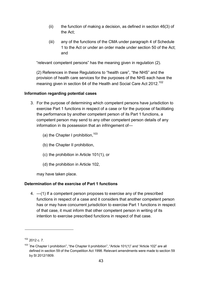- $(ii)$  the function of making a decision, as defined in section 46(3) of the Act;
- (iii) any of the functions of the CMA under paragraph 4 of Schedule 1 to the Act or under an order made under section 50 of the Act; and

"relevant competent persons" has the meaning given in regulation (2).

(2) References in these Regulations to "health care", "the NHS" and the provision of health care services for the purposes of the NHS each have the meaning given in section 64 of the Health and Social Care Act 2012.<sup>[102](#page-45-0)</sup>

#### **Information regarding potential cases**

- 3. For the purpose of determining which competent persons have jurisdiction to exercise Part 1 functions in respect of a case or for the purpose of facilitating the performance by another competent person of its Part 1 functions, a competent person may send to any other competent person details of any information in its possession that an infringement of—
	- (a) the Chapter I prohibition,  $103$
	- (b) the Chapter II prohibition,
	- (c) the prohibition in Article 101(1), or
	- (d) the prohibition in Article 102,

may have taken place.

## **Determination of the exercise of Part 1 functions**

4. —(1) If a competent person proposes to exercise any of the prescribed functions in respect of a case and it considers that another competent person has or may have concurrent jurisdiction to exercise Part 1 functions in respect of that case, it must inform that other competent person in writing of its intention to exercise prescribed functions in respect of that case.

<span id="page-45-0"></span><sup>102</sup> 2012 c. 7.

<span id="page-45-1"></span> $103$  "the Chapter I prohibition", "the Chapter II prohibition", "Article 101(1)" and "Article 102" are all defined in section 59 of the Competition Act 1998. Relevant amendments were made to section 59 by SI 2012/1809.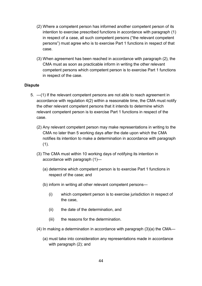- (2) Where a competent person has informed another competent person of its intention to exercise prescribed functions in accordance with paragraph (1) in respect of a case, all such competent persons ("the relevant competent persons") must agree who is to exercise Part 1 functions in respect of that case.
- (3) When agreement has been reached in accordance with paragraph (2), the CMA must as soon as practicable inform in writing the other relevant competent persons which competent person is to exercise Part 1 functions in respect of the case.

#### **Dispute**

- 5. —(1) If the relevant competent persons are not able to reach agreement in accordance with regulation 4(2) within a reasonable time, the CMA must notify the other relevant competent persons that it intends to determine which relevant competent person is to exercise Part 1 functions in respect of the case.
	- (2) Any relevant competent person may make representations in writing to the CMA no later than 5 working days after the date upon which the CMA notifies its intention to make a determination in accordance with paragraph  $(1).$
	- (3) The CMA must within 10 working days of notifying its intention in accordance with paragraph (1)—
		- (a) determine which competent person is to exercise Part 1 functions in respect of the case; and
		- (b) inform in writing all other relevant competent persons—
			- (i) which competent person is to exercise jurisdiction in respect of the case,
			- (ii) the date of the determination, and
			- (iii) the reasons for the determination.
	- (4) In making a determination in accordance with paragraph (3)(a) the CMA—
		- (a) must take into consideration any representations made in accordance with paragraph (2); and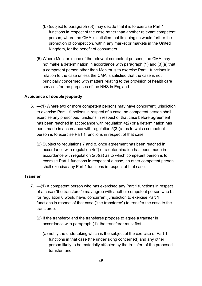- (b) (subject to paragraph (5)) may decide that it is to exercise Part 1 functions in respect of the case rather than another relevant competent person, where the CMA is satisfied that its doing so would further the promotion of competition, within any market or markets in the United Kingdom, for the benefit of consumers.
- (5) Where Monitor is one of the relevant competent persons, the CMA may not make a determination in accordance with paragraph (1) and (3)(a) that a competent person other than Monitor is to exercise Part 1 functions in relation to the case unless the CMA is satisfied that the case is not principally concerned with matters relating to the provision of health care services for the purposes of the NHS in England.

#### **Avoidance of double jeopardy**

- 6. —(1) Where two or more competent persons may have concurrent jurisdiction to exercise Part 1 functions in respect of a case, no competent person shall exercise any prescribed functions in respect of that case before agreement has been reached in accordance with regulation 4(2) or a determination has been made in accordance with regulation 5(3)(a) as to which competent person is to exercise Part 1 functions in respect of that case.
	- (2) Subject to regulations 7 and 8, once agreement has been reached in accordance with regulation 4(2) or a determination has been made in accordance with regulation 5(3)(a) as to which competent person is to exercise Part 1 functions in respect of a case, no other competent person shall exercise any Part 1 functions in respect of that case.

#### **Transfer**

- 7. —(1) A competent person who has exercised any Part 1 functions in respect of a case ("the transferor") may agree with another competent person who but for regulation 6 would have, concurrent jurisdiction to exercise Part 1 functions in respect of that case ("the transferee") to transfer the case to the transferee.
	- (2) If the transferor and the transferee propose to agree a transfer in accordance with paragraph (1), the transferor must first—
		- (a) notify the undertaking which is the subject of the exercise of Part 1 functions in that case (the undertaking concerned) and any other person likely to be materially affected by the transfer, of the proposed transfer, and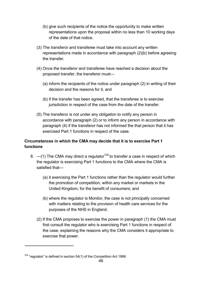- (b) give such recipients of the notice the opportunity to make written representations upon the proposal within no less than 10 working days of the date of that notice.
- (3) The transferor and transferee must take into account any written representations made in accordance with paragraph (2)(b) before agreeing the transfer.
- (4) Once the transferor and transferee have reached a decision about the proposed transfer, the transferor must—
	- (a) inform the recipients of the notice under paragraph (2) in writing of their decision and the reasons for it, and
	- (b) if the transfer has been agreed, that the transferee is to exercise jurisdiction in respect of the case from the date of the transfer.
- (5) The transferor is not under any obligation to notify any person in accordance with paragraph (2) or to inform any person in accordance with paragraph (4) if the transferor has not informed the that person that it has exercised Part 1 functions in respect of the case.

## **Circumstances in which the CMA may decide that it is to exercise Part 1 functions**

- 8.  $-$ (1) The CMA may direct a regulator<sup>104</sup> to transfer a case in respect of which the regulator is exercising Part 1 functions to the CMA where the CMA is satisfied that—
	- (a) it exercising the Part 1 functions rather than the regulator would further the promotion of competition, within any market or markets in the United Kingdom, for the benefit of consumers; and
	- (b) where the regulator is Monitor, the case is not principally concerned with matters relating to the provision of health care services for the purposes of the NHS in England.
	- (2) If the CMA proposes to exercise the power in paragraph (1) the CMA must first consult the regulator who is exercising Part 1 functions in respect of the case, explaining the reasons why the CMA considers it appropriate to exercise that power.

<span id="page-48-0"></span> $104$  "regulator" is defined in section 54(1) of the Competition Act 1998.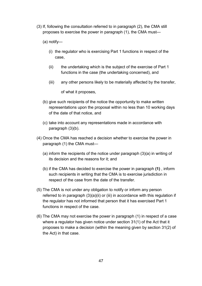- (3) If, following the consultation referred to in paragraph (2), the CMA still proposes to exercise the power in paragraph (1), the CMA must—
	- (a) notify—
		- (i) the regulator who is exercising Part 1 functions in respect of the case,
		- (ii) the undertaking which is the subject of the exercise of Part 1 functions in the case (the undertaking concerned), and
		- (iii) any other persons likely to be materially affected by the transfer,

of what it proposes,

- (b) give such recipients of the notice the opportunity to make written representations upon the proposal within no less than 10 working days of the date of that notice, and
- (c) take into account any representations made in accordance with paragraph (3)(b).
- (4) Once the CMA has reached a decision whether to exercise the power in paragraph (1) the CMA must—
	- (a) inform the recipients of the notice under paragraph (3)(a) in writing of its decision and the reasons for it; and
	- (b) if the CMA has decided to exercise the power in paragraph **(1)** , inform such recipients in writing that the CMA is to exercise jurisdiction in respect of the case from the date of the transfer.
- (5) The CMA is not under any obligation to notify or inform any person referred to in paragraph  $(3)(a)(ii)$  or (iii) in accordance with this regulation if the regulator has not informed that person that it has exercised Part 1 functions in respect of the case.
- (6) The CMA may not exercise the power in paragraph (1) in respect of a case where a regulator has given notice under section 31(1) of the Act that it proposes to make a decision (within the meaning given by section 31(2) of the Act) in that case.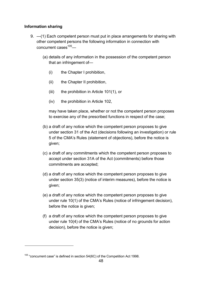## **Information sharing**

- 9. —(1) Each competent person must put in place arrangements for sharing with other competent persons the following information in connection with concurrent cases $105$ —
	- (a) details of any information in the possession of the competent person that an infringement of—
		- (i) the Chapter I prohibition,
		- (ii) the Chapter II prohibition,
		- (iii) the prohibition in Article 101(1), or
		- (iv) the prohibition in Article 102,

may have taken place, whether or not the competent person proposes to exercise any of the prescribed functions in respect of the case;

- (b) a draft of any notice which the competent person proposes to give under section 31 of the Act (decisions following an investigation) or rule 5 of the CMA's Rules (statement of objections), before the notice is given;
- (c) a draft of any commitments which the competent person proposes to accept under section 31A of the Act (commitments) before those commitments are accepted;
- (d) a draft of any notice which the competent person proposes to give under section 35(3) (notice of interim measures), before the notice is given;
- (e) a draft of any notice which the competent person proposes to give under rule 10(1) of the CMA's Rules (notice of infringement decision), before the notice is given;
- (f) a draft of any notice which the competent person proposes to give under rule 10(4) of the CMA's Rules (notice of no grounds for action decision), before the notice is given;

<span id="page-50-0"></span> $105$  "concurrent case" is defined in section 54(6C) of the Competition Act 1998.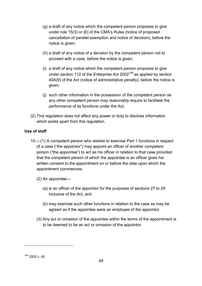- <span id="page-51-0"></span>(g) a draft of any notice which the competent person proposes to give under rule 15(3) or (6) of the CMA's Rules (notice of proposed cancellation of parallel exemption and notice of decision), before the notice is given;
- (h) a draft of any notice of a decision by the competent person not to proceed with a case, before the notice is given;
- (i) a draft of any notice which the competent person proposes to give under section 112 of the Enterprise Act  $2002^{106}$  $2002^{106}$  $2002^{106}$  as applied by section 40A(9) of the Act (notice of administrative penalty), before the notice is given;
- (j) such other information in the possession of the competent person as any other competent person may reasonably require to facilitate the performance of its functions under the Act.
- (2) This regulation does not affect any power or duty to disclose information which exists apart from this regulation.

## **Use of staff**

- 10 .—(1) A competent person who wishes to exercise Part 1 functions in respect of a case ("the appointor") may appoint an officer of another competent person ("the appointee") to act as his officer in relation to that case provided that the competent person of which the appointee is an officer gives his written consent to the appointment on or before the date upon which the appointment commences.
	- (2) An appointee—
		- (a) is an officer of the appointor for the purposes of sections 27 to 29 inclusive of the Act, and
		- (b) may exercise such other functions in relation to the case as may be agreed as if the appointee were an employee of the appointor.
	- (3) Any act or omission of the appointee within the terms of the appointment is to be deemed to be an act or omission of the appointor.

<sup>106</sup> 2002 c. 40.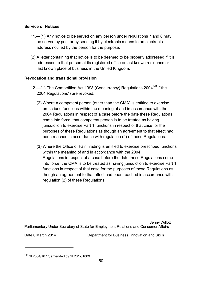## **Service of Notices**

- 11 .—(1) Any notice to be served on any person under regulations 7 and 8 may be served by post or by sending it by electronic means to an electronic address notified by the person for the purpose.
- (2) A letter containing that notice is to be deemed to be properly addressed if it is addressed to that person at its registered office or last known residence or last known place of business in the United Kingdom.

## **Revocation and transitional provision**

- 12.—(1) The Competition Act 1998 (Concurrency) Regulations 2004<sup>[107](#page-52-0)</sup> ("the 2004 Regulations") are revoked.
	- (2) Where a competent person (other than the CMA) is entitled to exercise prescribed functions within the meaning of and in accordance with the 2004 Regulations in respect of a case before the date these Regulations come into force, that competent person is to be treated as having jurisdiction to exercise Part 1 functions in respect of that case for the purposes of these Regulations as though an agreement to that effect had been reached in accordance with regulation (2) of these Regulations.
	- (3) Where the Office of Fair Trading is entitled to exercise prescribed functions within the meaning of and in accordance with the 2004 Regulations in respect of a case before the date these Regulations come into force, the CMA is to be treated as having jurisdiction to exercise Part 1 functions in respect of that case for the purposes of these Regulations as though an agreement to that effect had been reached in accordance with regulation (2) of these Regulations.

Jenny Willott Parliamentary Under Secretary of State for Employment Relations and Consumer Affairs

Date 6 March 2014 Department for Business, Innovation and Skills

<span id="page-52-0"></span> $107$  SI 2004/1077; amended by SI 2012/1809.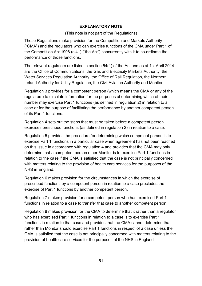## **EXPLANATORY NOTE**

## (This note is not part of the Regulations)

These Regulations make provision for the Competition and Markets Authority ("CMA") and the regulators who can exercise functions of the CMA under Part 1 of the Competition Act 1998 (c 41) ("the Act") concurrently with it to co-ordinate the performance of those functions.

The relevant regulators are listed in section 54(1) of the Act and as at 1st April 2014 are the Office of Communications, the Gas and Electricity Markets Authority, the Water Services Regulation Authority, the Office of Rail Regulation, the Northern Ireland Authority for Utility Regulation, the Civil Aviation Authority and Monitor.

Regulation 3 provides for a competent person (which means the CMA or any of the regulators) to circulate information for the purposes of determining which of their number may exercise Part 1 functions (as defined in regulation 2) in relation to a case or for the purpose of facilitating the performance by another competent person of its Part 1 functions.

Regulation 4 sets out the steps that must be taken before a competent person exercises prescribed functions (as defined in regulation 2) in relation to a case.

Regulation 5 provides the procedure for determining which competent person is to exercise Part 1 functions in a particular case when agreement has not been reached on this issue in accordance with regulation 4 and provides that the CMA may only determine that a competent person other Monitor is to exercise Part 1 functions in relation to the case if the CMA is satisfied that the case is not principally concerned with matters relating to the provision of health care services for the purposes of the NHS in England.

Regulation 6 makes provision for the circumstances in which the exercise of prescribed functions by a competent person in relation to a case precludes the exercise of Part 1 functions by another competent person.

Regulation 7 makes provision for a competent person who has exercised Part 1 functions in relation to a case to transfer that case to another competent person.

Regulation 8 makes provision for the CMA to determine that it rather than a regulator who has exercised Part 1 functions in relation to a case is to exercise Part 1 functions in relation to that case and provides that the CMA cannot determine that it rather than Monitor should exercise Part 1 functions in respect of a case unless the CMA is satisfied that the case is not principally concerned with matters relating to the provision of health care services for the purposes of the NHS in England.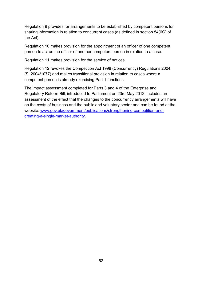Regulation 9 provides for arrangements to be established by competent persons for sharing information in relation to concurrent cases (as defined in section 54(6C) of the Act).

Regulation 10 makes provision for the appointment of an officer of one competent person to act as the officer of another competent person in relation to a case.

Regulation 11 makes provision for the service of notices.

Regulation 12 revokes the Competition Act 1998 (Concurrency) Regulations 2004 (SI 2004/1077) and makes transitional provision in relation to cases where a competent person is already exercising Part 1 functions.

The impact assessment completed for Parts 3 and 4 of the Enterprise and Regulatory Reform Bill, introduced to Parliament on 23rd May 2012, includes an assessment of the effect that the changes to the concurrency arrangements will have on the costs of business and the public and voluntary sector and can be found at the website: [www.gov.uk/government/publications/strengthening-competition-and](https://www.gov.uk/government/publications/strengthening-competition-and-creating-a-single-market-authority)[creating-a-single-market-authority.](https://www.gov.uk/government/publications/strengthening-competition-and-creating-a-single-market-authority)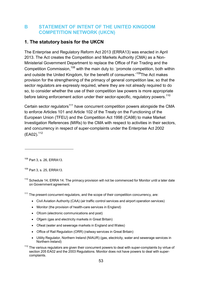## <span id="page-55-0"></span>**B STATEMENT OF INTENT OF THE UNITED KINGDOM COMPETITION NETWORK (UKCN)**

## **1. The statutory basis for the UKCN**

The Enterprise and Regulatory Reform Act 2013 (ERRA13) was enacted in April 2013. The Act creates the Competition and Markets Authority (CMA) as a Non-Ministerial Government Department to replace the Office of Fair Trading and the Competition Commission,<sup>[108](#page-55-1)</sup> with the main duty to: 'promote competition, both within and outside the United Kingdom, for the benefit of consumers.<sup>'109</sup>The Act makes provision for the strengthening of the primacy of general competition law, so that the sector regulators are expressly required, where they are not already required to do so, to consider whether the use of their competition law powers is more appropriate before taking enforcement action under their sector-specific, regulatory powers.<sup>[110](#page-55-3)</sup>

Certain sector regulators<sup>[111](#page-55-4)</sup> have concurrent competition powers alongside the CMA to enforce Articles 101 and Article 102 of the Treaty on the Functioning of the European Union (TFEU) and the Competition Act 1998 (CA98) to make Market Investigation References (MIRs) to the CMA with respect to activities in their sectors, and concurrency in respect of super-complaints under the Enterprise Act 2002  $(EA02).$ <sup>[112](#page-55-5)</sup>

<span id="page-55-2"></span><sup>109</sup> Part 3, s. 25, ERRA13.

<span id="page-55-3"></span> $110$  Schedule 14, ERRA 14. The primacy provision will not be commenced for Monitor until a later date on Government agreement.

<span id="page-55-4"></span> $111$  The present concurrent regulators, and the scope of their competition concurrency, are:

- Civil Aviation Authority (CAA) (air traffic control services and airport operation services)
- Monitor (the provision of health-care services in England)
- Ofcom (electronic communications and post)
- Ofgem (gas and electricity markets in Great Britain)
- Ofwat (water and sewerage markets in England and Wales)
- Office of Rail Regulation (ORR) (railway services in Great Britain)
- Utility Regulator, Northern Ireland (NIAUR) (gas, electricity, water and sewerage services in Northern Ireland)

<span id="page-55-5"></span> $112$  The various regulators are given their concurrent powers to deal with super-complaints by virtue of section 205 EA02 and the 2003 Regulations. Monitor does not have powers to deal with supercomplaints.

<span id="page-55-1"></span><sup>108</sup> Part 3, s. 26, ERRA13.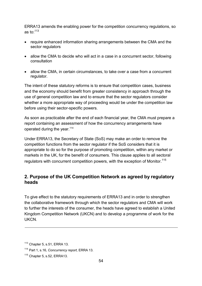ERRA13 amends the enabling power for the competition concurrency regulations, so as to: $113$ 

- require enhanced information sharing arrangements between the CMA and the sector regulators
- allow the CMA to decide who will act in a case in a concurrent sector, following consultation
- allow the CMA, in certain circumstances, to take over a case from a concurrent regulator.

The intent of these statutory reforms is to ensure that competition cases, business and the economy should benefit from greater consistency in approach through the use of general competition law and to ensure that the sector regulators consider whether a more appropriate way of proceeding would be under the competition law before using their sector-specific powers.

As soon as practicable after the end of each financial year, the CMA must prepare a report containing an assessment of how the concurrency arrangements have operated during the year.<sup>[114](#page-56-1)</sup>

Under ERRA13, the Secretary of State (SoS) may make an order to remove the competition functions from the sector regulator if the SoS considers that it is appropriate to do so for the purpose of promoting competition, within any market or markets in the UK, for the benefit of consumers. This clause applies to all sectoral regulators with concurrent competition powers, with the exception of Monitor.<sup>[115](#page-56-2)</sup>

## **2. Purpose of the UK Competition Network as agreed by regulatory heads**

To give effect to the statutory requirements of ERRA13 and in order to strengthen the collaborative framework through which the sector regulators and CMA will work to further the interests of the consumer, the heads have agreed to establish a United Kingdom Competition Network (UKCN) and to develop a programme of work for the **UKCN.** 

<span id="page-56-0"></span> $113$  Chapter 5, s.51, ERRA 13.

<span id="page-56-1"></span><sup>114</sup> Part 1, s.16, *Concurrency report,* ERRA 13*.*

<span id="page-56-2"></span> $115$  Chapter 5, s.52, ERRA13.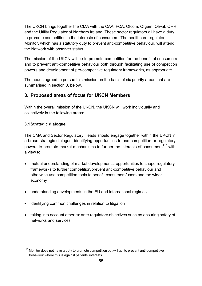The UKCN brings together the CMA with the CAA, FCA, Ofcom, Ofgem, Ofwat, ORR and the Utility Regulator of Northern Ireland. These sector regulators all have a duty to promote competition in the interests of consumers. The healthcare regulator, Monitor, which has a statutory duty to prevent anti-competitive behaviour, will attend the Network with observer status.

The mission of the UKCN will be to promote competition for the benefit of consumers and to prevent anti-competitive behaviour both through facilitating use of competition powers and development of pro-competitive regulatory frameworks, as appropriate.

The heads agreed to pursue this mission on the basis of six priority areas that are summarised in section 3, below.

## **3. Proposed areas of focus for UKCN Members**

Within the overall mission of the UKCN, the UKCN will work individually and collectively in the following areas:

## **3.1Strategic dialogue**

The CMA and Sector Regulatory Heads should engage together within the UKCN in a broad strategic dialogue, identifying opportunities to use competition or regulatory powers to promote market mechanisms to further the interests of consumers<sup>[116](#page-57-0)</sup> with a view to:

- mutual understanding of market developments, opportunities to shape regulatory frameworks to further competition/prevent anti-competitive behaviour and otherwise use competition tools to benefit consumers/users and the wider economy
- understanding developments in the EU and international regimes
- identifying common challenges in relation to litigation
- taking into account other ex ante regulatory objectives such as ensuring safety of networks and services.

<span id="page-57-0"></span> $116$  Monitor does not have a duty to promote competition but will act to prevent anti-competitive behaviour where this is against patients' interests.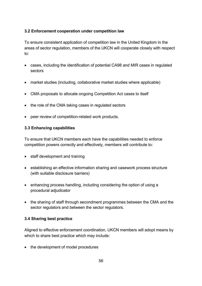## **3.2 Enforcement cooperation under competition law**

To ensure consistent application of competition law in the United Kingdom in the areas of sector regulation, members of the UKCN will cooperate closely with respect to:

- cases, including the identification of potential CA98 and MIR cases in regulated sectors
- market studies (including, collaborative market studies where applicable)
- CMA proposals to allocate ongoing Competition Act cases to itself
- the role of the CMA taking cases in regulated sectors
- peer review of competition-related work products.

## **3.3 Enhancing capabilities**

To ensure that UKCN members each have the capabilities needed to enforce competition powers correctly and effectively, members will contribute to:

- staff development and training
- establishing an effective information sharing and casework process structure (with suitable disclosure barriers)
- enhancing process handling, including considering the option of using a procedural adjudicator
- the sharing of staff through secondment programmes between the CMA and the sector regulators and between the sector regulators.

## **3.4 Sharing best practice**

Aligned to effective enforcement coordination, UKCN members will adopt means by which to share best practice which may include:

• the development of model procedures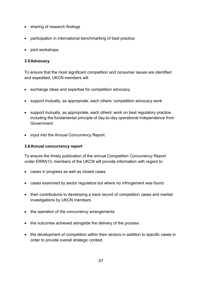- sharing of research findings
- participation in international benchmarking of best practice
- joint workshops.

## **3.5Advocacy**

To ensure that the most significant competition and consumer issues are identified and expedited, UKCN members will:

- exchange ideas and expertise for competition advocacy
- support mutually, as appropriate, each others' competition advocacy work
- support mutually, as appropriate, each others' work on best regulatory practice including the fundamental principle of day-to-day operational independence from **Government**
- input into the Annual Concurrency Report.

## **3.6Annual concurrency report**

To ensure the timely publication of the annual Competition Concurrency Report under ERRA13, members of the UKCN will provide information with regard to:

- cases in progress as well as closed cases
- cases examined by sector regulators but where no infringement was found
- their contributions to developing a track record of competition cases and market investigations by UKCN members
- the operation of the concurrency arrangements
- the outcomes achieved alongside the delivery of the process
- the development of competition within their sectors in addition to specific cases in order to provide overall strategic context.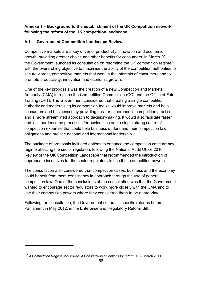## **Annexe 1 – Background to the establishment of the UK Competition network following the reform of the UK competition landscape.**

## **A.1 Government Competition Landscape Review**

Competitive markets are a key driver of productivity, innovation and economic growth, providing greater choice and other benefits for consumers. In March 2011, the Government launched its consultation on reforming the UK competition regime<sup>[117](#page-60-0)</sup> with the overarching objective to maximise the ability of the competition authorities to secure vibrant, competitive markets that work in the interests of consumers and to promote productivity, innovation and economic growth.

One of the key proposals was the creation of a new Competition and Markets Authority (CMA) to replace the Competition Commission (CC) and the Office of Fair Trading (OFT). The Government considered that creating a single competition authority and modernising its competition toolkit would improve markets and help consumers and businesses by providing greater coherence in competition practice and a more streamlined approach to decision-making. It would also facilitate faster and less burdensome processes for businesses and a single strong centre of competition expertise that could help business understand their competition law obligations and provide national and international leadership.

The package of proposals included options to enhance the competition concurrency regime affecting the sector regulators following the National Audit Office 2010 Review of the UK Competition Landscape that recommended the introduction of appropriate incentives for the sector regulators to use their competition powers.

The consultation also considered that competition cases, business and the economy could benefit from more consistency in approach through the use of general competition law. One of the conclusions of the consultation was that the Government wanted to encourage sector regulators to work more closely with the CMA and to use their competition powers where they considered them to be appropriate.

Following the consultation, the Government set out its specific reforms before Parliament in May 2012, in the Enterprise and Regulatory Reform Bill.

<span id="page-60-0"></span><sup>117</sup> *A Competition Regime for Growth: A Consultation on options for reform*, BIS, March 2011.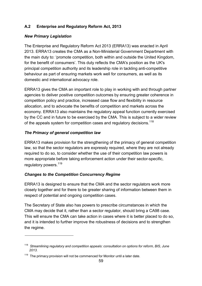## **A.2 Enterprise and Regulatory Reform Act, 2013**

### *New Primary Legislation*

The Enterprise and Regulatory Reform Act 2013 (ERRA13) was enacted in April 2013. ERRA13 creates the CMA as a Non-Ministerial Government Department with the main duty to: 'promote competition, both within and outside the United Kingdom, for the benefit of consumers'. This duty reflects the CMA's position as the UK's principal competition authority and its leadership role in tackling anti-competitive behaviour as part of ensuring markets work well for consumers, as well as its domestic and international advocacy role.

ERRA13 gives the CMA an important role to play in working with and through partner agencies to deliver positive competition outcomes by ensuring greater coherence in competition policy and practice, increased case flow and flexibility in resource allocation, and to advocate the benefits of competition and markets across the economy. ERRA13 also maintains the regulatory appeal function currently exercised by the CC and in future to be exercised by the CMA. This is subject to a wider review of the appeals system for competition cases and regulatory decisions.<sup>[118](#page-61-0)</sup>

#### *The Primacy of general competition law*

ERRA13 makes provision for the strengthening of the primacy of general competition law, so that the sector regulators are expressly required, where they are not already required to do so, to consider whether the use of their competition law powers is more appropriate before taking enforcement action under their sector-specific, regulatory powers.<sup>[119](#page-61-1)</sup>

## *Changes to the Competition Concurrency Regime*

ERRA13 is designed to ensure that the CMA and the sector regulators work more closely together and for there to be greater sharing of information between them in respect of potential and ongoing competition cases.

The Secretary of State also has powers to prescribe circumstances in which the CMA may decide that it, rather than a sector regulator, should bring a CA98 case. This will ensure the CMA can take action in cases where it is better placed to do so, and it is intended to further improve the robustness of decisions and to strengthen the regime.

<span id="page-61-0"></span><sup>118</sup>*[Streamlining](https://www.gov.uk/government/consultations/regulatory-and-competition-appeals-options-for-reform) regulatory and competition appeals: consultation on options for reform, BIS, June 2013.*

<span id="page-61-1"></span> $119$  The primacy provision will not be commenced for Monitor until a later date.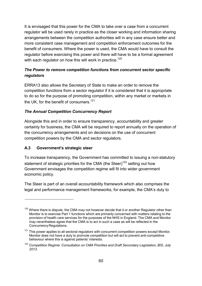It is envisaged that this power for the CMA to take over a case from a concurrent regulator will be used rarely in practice as the closer working and information sharing arrangements between the competition authorities will in any case ensure better and more consistent case management and competition enforcement outcomes for the benefit of consumers. Where the power is used, the CMA would have to consult the regulator before exercising this power and there will have to be a formal agreement with each regulator on how this will work in practice. $120$ 

## *The Power to remove competition functions from concurrent sector specific regulators*

ERRA13 also allows the Secretary of State to make an order to remove the competition functions from a sector regulator if it is considered that it is appropriate to do so for the purpose of promoting competition, within any market or markets in the UK, for the benefit of consumers.<sup>[121](#page-62-1)</sup>

## *The Annual Competition Concurrency Report*

Alongside this and in order to ensure transparency, accountability and greater certainty for business, the CMA will be required to report annually on the operation of the concurrency arrangements and on decisions on the use of concurrent competition powers by the CMA and sector regulators.

## **A.3 Government's strategic steer**

To increase transparency, the Government has committed to issuing a non-statutory statement of strategic priorities for the CMA (the Steer)<sup>122</sup> setting out how Government envisages the competition regime will fit into wider government economic policy.

The Steer is part of an overall accountability framework which also comprises the legal and performance management frameworks, for example, the CMA's duty to

<span id="page-62-0"></span> $120$  Where there is dispute, the CMA may not however decide that it or another Regulator other than Monitor is to exercise Part 1 functions which are primarily concerned with matters relating to the provision of health care services for the purposes of the NHS in England. The CMA and Monitor may nevertheless agree that the CMA is to act in such a case as will be reflected in the Concurrency Regulations.

<span id="page-62-1"></span> $121$  This power applies to all sectoral regulators with concurrent competition powers except Monitor. Monitor does not have a duty to promote competition but will act to prevent anti-competitive behaviour where this is against patients' interests.

<span id="page-62-2"></span><sup>122</sup> *Competition Regime: Consultation on CMA Priorities and Draft Secondary Legislation, BIS, July 2013*.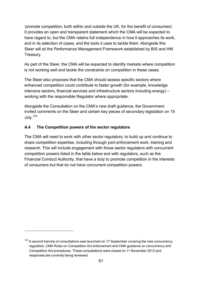'promote competition, both within and outside the UK, for the benefit of consumers'. It provides an open and transparent statement which the CMA will be expected to have regard to, but the CMA retains full independence in how it approaches its work, and in its selection of cases, and the tools it uses to tackle them. Alongside this Steer will sit the Performance Management Framework established by BIS and HM Treasury.

As part of the Steer, the CMA will be expected to identify markets where competition is not working well and tackle the constraints on competition in these cases.

The Steer also proposes that the CMA should assess specific sectors where enhanced competition could contribute to faster growth (for example, knowledge intensive sectors, financial services and infrastructure sectors including energy) – working with the responsible Regulator where appropriate.

Alongside the Consultation on the CMA's new draft guidance, the Government invited comments on the Steer and certain key pieces of secondary legislation on 15 July.<sup>[123](#page-63-0)</sup>

## **A.4 The Competition powers of the sector regulators**

The CMA will need to work with other sector regulators, to build up and continue to share competition expertise, including through joint enforcement work, training and research. This will include engagement with those sector regulators with concurrent competition powers listed in the table below and with regulators, such as the Financial Conduct Authority, that have a duty to promote competition in the interests of consumers but that do not have concurrent competition powers.

<span id="page-63-0"></span> $123$  A second tranche of consultations was launched on 17 September covering the new concurrency regulation, CMA Rules on Competition Act enforcement and CMA guidance on concurrency and Competition Act procedures. These consultations were closed on 11 November 2013 and responses are currently being reviewed.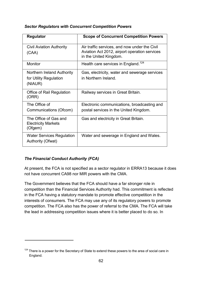## *Sector Regulators with Concurrent Competition Powers*

| <b>Regulator</b>                                                | <b>Scope of Concurrent Competition Powers</b>                                                                            |
|-----------------------------------------------------------------|--------------------------------------------------------------------------------------------------------------------------|
| <b>Civil Aviation Authority</b><br>(CAA)                        | Air traffic services, and now under the Civil<br>Aviation Act 2012, airport operation services<br>in the United Kingdom. |
| <b>Monitor</b>                                                  | Health care services in England. <sup>124</sup>                                                                          |
| Northern Ireland Authority<br>for Utility Regulation<br>(NIAUR) | Gas, electricity, water and sewerage services<br>in Northern Ireland.                                                    |
| Office of Rail Regulation<br>(ORR)                              | Railway services in Great Britain.                                                                                       |
| The Office of<br>Communications (Ofcom)                         | Electronic communications, broadcasting and<br>postal services in the United Kingdom.                                    |
| The Office of Gas and<br><b>Electricity Markets</b><br>(Ofgem)  | Gas and electricity in Great Britain.                                                                                    |
| <b>Water Services Regulation</b><br>Authority (Ofwat)           | Water and sewerage in England and Wales.                                                                                 |

## *The Financial Conduct Authority (FCA)*

At present, the FCA is not specified as a sector regulator in ERRA13 because it does not have concurrent CA98 nor MIR powers with the CMA.

The Government believes that the FCA should have a far stronger role in competition than the Financial Services Authority had. This commitment is reflected in the FCA having a statutory mandate to promote effective competition in the interests of consumers. The FCA may use any of its regulatory powers to promote competition. The FCA also has the power of referral to the CMA. The FCA will take the lead in addressing competition issues where it is better placed to do so. In

<span id="page-64-0"></span> $124$  There is a power for the Secretary of State to extend these powers to the area of social care in England.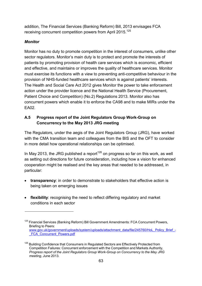addition, The Financial Services (Banking Reform) Bill, 2013 envisages FCA receiving concurrent competition powers from April 2015.<sup>[125](#page-65-0)</sup>

## *Monitor*

Monitor has no duty to promote competition in the interest of consumers, unlike other sector regulators. Monitor's main duty is to protect and promote the interests of patients by promoting provision of health care services which is economic, efficient and effective, and maintains or improves the quality of healthcare services. Monitor must exercise its functions with a view to preventing anti-competitive behaviour in the provision of NHS-funded healthcare services which is against patients' interests. The Health and Social Care Act 2012 gives Monitor the power to take enforcement action under the provider licence and the National Health Service (Procurement, Patient Choice and Competition) (No.2) Regulations 2013. Monitor also has concurrent powers which enable it to enforce the CA98 and to make MIRs under the EA02.

## **A.5 Progress report of the Joint Regulators Group Work-Group on Concurrency to the May 2013 JRG meeting**

The Regulators, under the aegis of the Joint Regulators Group (JRG), have worked with the CMA transition team and colleagues from the BIS and the OFT to consider in more detail how operational relationships can be optimised.

In May 2013, the JRG published a report<sup>[126](#page-65-1)</sup> on progress so far on this work, as well as setting out directions for future consideration, including how a vision for enhanced cooperation might be realised and the key areas that needed to be addressed, in particular:

- **transparency**: in order to demonstrate to stakeholders that effective action is being taken on emerging issues
- **flexibility**: recognising the need to reflect differing regulatory and market conditions in each sector

<span id="page-65-0"></span> $125$  Financial Services (Banking Reform) Bill Government Amendments: FCA Concurrent Powers, Briefing to Peers: [www.gov.uk/government/uploads/system/uploads/attachment\\_data/file/245760/HoL\\_Policy\\_Brief\\_-](https://www.gov.uk/government/uploads/system/uploads/attachment_data/file/245760/HoL_Policy_Brief_-_FCA_Concurrent_Powers.pdf) **FCA** Concurrent Powers.pdf

<span id="page-65-1"></span>Building Confidence that Consumers in Regulated Sectors are Effectively Protected from Competition Failures: Concurrent enforcement with the Competition and Markets Authority, *Progress report of the Joint Regulators Group Work-Group on Concurrency to the May JRG meeting*, June 2013.